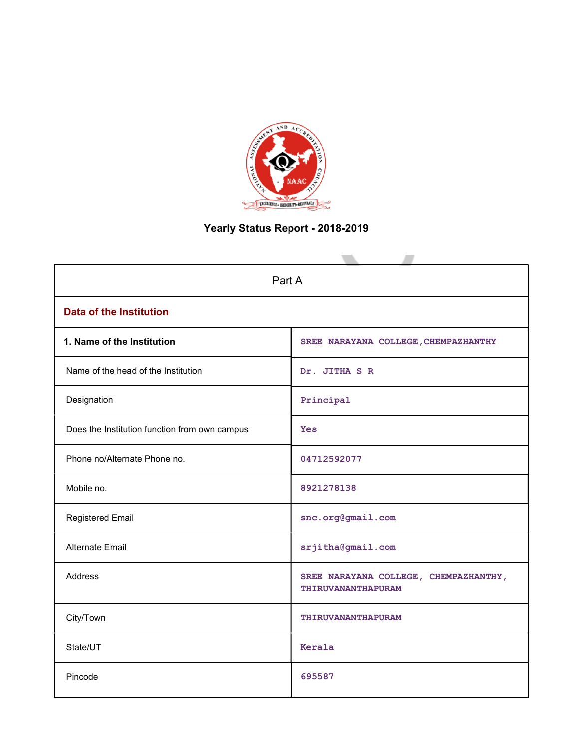

# Yearly Status Report - 2018-2019

| Part A                                        |                                                                    |  |  |  |  |  |
|-----------------------------------------------|--------------------------------------------------------------------|--|--|--|--|--|
| <b>Data of the Institution</b>                |                                                                    |  |  |  |  |  |
| 1. Name of the Institution                    | SREE NARAYANA COLLEGE, CHEMPAZHANTHY                               |  |  |  |  |  |
| Name of the head of the Institution           | Dr. JITHA S R                                                      |  |  |  |  |  |
| Designation                                   | Principal                                                          |  |  |  |  |  |
| Does the Institution function from own campus | Yes                                                                |  |  |  |  |  |
| Phone no/Alternate Phone no.                  | 04712592077                                                        |  |  |  |  |  |
| Mobile no.                                    | 8921278138                                                         |  |  |  |  |  |
| <b>Registered Email</b>                       | snc.org@gmail.com                                                  |  |  |  |  |  |
| Alternate Email                               | srjitha@gmail.com                                                  |  |  |  |  |  |
| <b>Address</b>                                | SREE NARAYANA COLLEGE, CHEMPAZHANTHY,<br><b>THIRUVANANTHAPURAM</b> |  |  |  |  |  |
| City/Town                                     | THIRUVANANTHAPURAM                                                 |  |  |  |  |  |
| State/UT                                      | Kerala                                                             |  |  |  |  |  |
| Pincode                                       | 695587                                                             |  |  |  |  |  |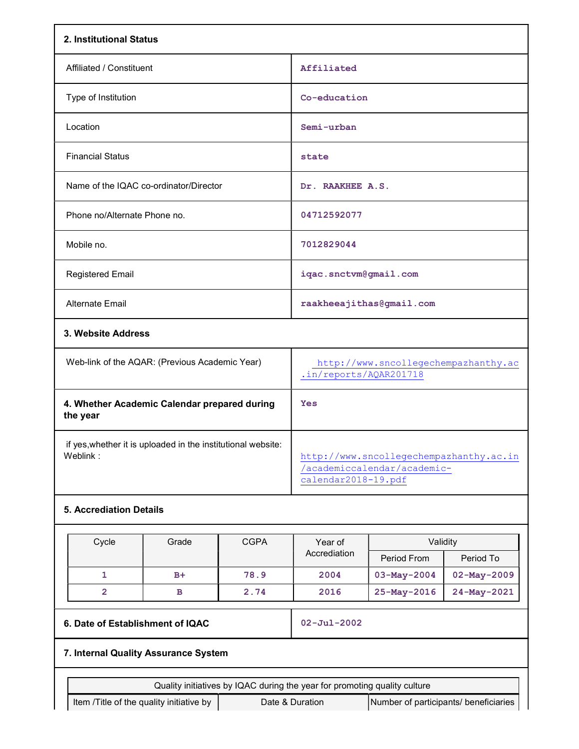| 2. Institutional Status                                                  |                                                                                               |  |  |  |  |
|--------------------------------------------------------------------------|-----------------------------------------------------------------------------------------------|--|--|--|--|
| Affiliated / Constituent                                                 | Affiliated                                                                                    |  |  |  |  |
| Type of Institution                                                      | Co-education                                                                                  |  |  |  |  |
| Location                                                                 | Semi-urban                                                                                    |  |  |  |  |
| <b>Financial Status</b>                                                  | state                                                                                         |  |  |  |  |
| Name of the IQAC co-ordinator/Director                                   | Dr. RAAKHEE A.S.                                                                              |  |  |  |  |
| Phone no/Alternate Phone no.                                             | 04712592077                                                                                   |  |  |  |  |
| Mobile no.                                                               | 7012829044                                                                                    |  |  |  |  |
| <b>Registered Email</b>                                                  | iqac.snctvm@gmail.com                                                                         |  |  |  |  |
| <b>Alternate Email</b>                                                   | raakheeajithas@gmail.com                                                                      |  |  |  |  |
| 3. Website Address                                                       |                                                                                               |  |  |  |  |
| Web-link of the AQAR: (Previous Academic Year)                           | http://www.sncollegechempazhanthy.ac<br>.in/reports/AQAR201718                                |  |  |  |  |
| 4. Whether Academic Calendar prepared during<br>the year                 | Yes                                                                                           |  |  |  |  |
| if yes, whether it is uploaded in the institutional website:<br>Weblink: | http://www.sncollegechempazhanthy.ac.in<br>/academiccalendar/academic-<br>calendar2018-19.pdf |  |  |  |  |

# 5. Accrediation Details

| Cycle | Grade | <b>CGPA</b> | Year of      | Validity          |                   |
|-------|-------|-------------|--------------|-------------------|-------------------|
|       |       |             | Accrediation | Period From       | Period To         |
|       | $B+$  | 78.9        | 2004         | $03-May-2004$     | $02 - May - 2009$ |
|       | в     | 2.74        | 2016         | $25 - May - 2016$ | 24-May-2021       |

# 6. Date of Establishment of IQAC 02-Jul-2002

# 7. Internal Quality Assurance System

Quality initiatives by IQAC during the year for promoting quality culture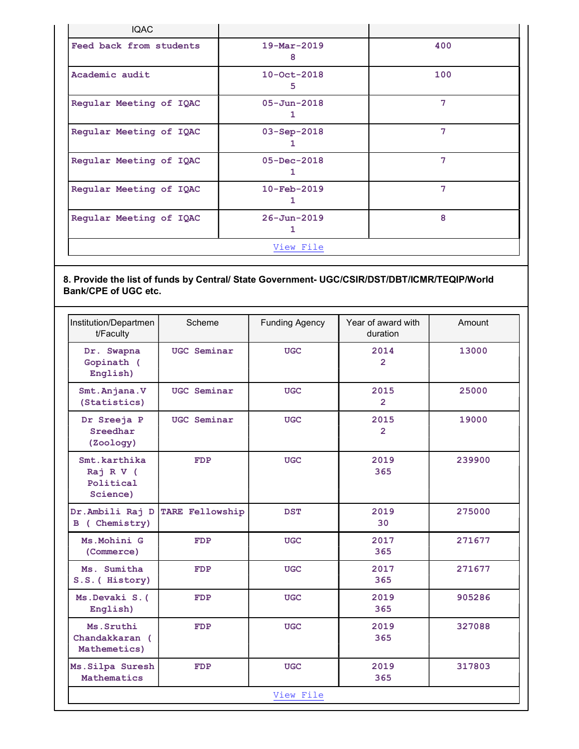| <b>IQAC</b>             |                          |     |
|-------------------------|--------------------------|-----|
| Feed back from students | $19 - Mar - 2019$<br>8   | 400 |
| Academic audit          | $10 - Oct - 2018$<br>5   | 100 |
| Regular Meeting of IQAC | $05 - Jun - 2018$<br>ı   | 7   |
| Regular Meeting of IQAC | $03 - Sep - 2018$        | 7   |
| Regular Meeting of IQAC | $05 - Dec - 2018$<br>1   | 7   |
| Regular Meeting of IQAC | $10 - \text{Feb} - 2019$ | 7   |
| Regular Meeting of IQAC | $26 - Jun - 2019$        | 8   |
|                         | View File                |     |

# 8. Provide the list of funds by Central/ State Government- UGC/CSIR/DST/DBT/ICMR/TEQIP/World Bank/CPE of UGC etc.

| Institution/Departmen<br>t/Faculty                 | Scheme          | <b>Funding Agency</b> | Year of award with<br>duration | Amount |
|----------------------------------------------------|-----------------|-----------------------|--------------------------------|--------|
| Dr. Swapna<br>Gopinath (<br>English)               | UGC Seminar     | <b>UGC</b>            | 2014<br>$\overline{2}$         | 13000  |
| Smt. Anjana. V<br>(Statistics)                     | UGC Seminar     | <b>UGC</b>            | 2015<br>$\overline{2}$         | 25000  |
| Dr Sreeja P<br>Sreedhar<br>(Zoology)               | UGC Seminar     | <b>UGC</b>            | 2015<br>$\overline{2}$         | 19000  |
| Smt.karthika<br>Raj R V (<br>Political<br>Science) | <b>FDP</b>      | <b>UGC</b>            | 2019<br>365                    | 239900 |
| Dr.Ambili Raj D<br>B ( Chemistry)                  | TARE Fellowship | <b>DST</b>            | 2019<br>30                     | 275000 |
| Ms. Mohini G<br>(Commerce)                         | <b>FDP</b>      | <b>UGC</b>            | 2017<br>365                    | 271677 |
| Ms. Sumitha<br>S.S. ( History)                     | <b>FDP</b>      | <b>UGC</b>            | 2017<br>365                    | 271677 |
| Ms.Devaki S.(<br>English)                          | <b>FDP</b>      | <b>UGC</b>            | 2019<br>365                    | 905286 |
| Ms. Sruthi<br>Chandakkaran (<br>Mathemetics)       | <b>FDP</b>      | <b>UGC</b>            | 2019<br>365                    | 327088 |
| Ms. Silpa Suresh<br>Mathematics                    | <b>FDP</b>      | <b>UGC</b>            | 2019<br>365                    | 317803 |
|                                                    |                 | View File             |                                |        |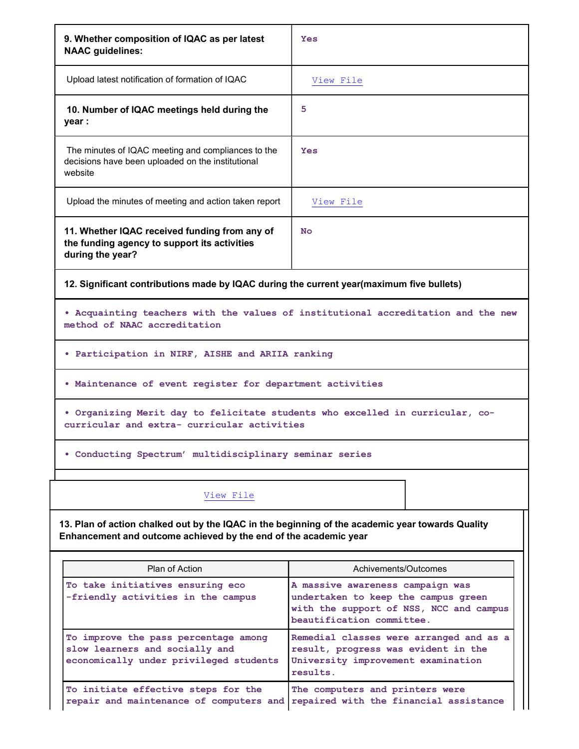| 9. Whether composition of IQAC as per latest<br><b>NAAC</b> guidelines:                                                                                                                                                                              | Yes                                                                               |  |  |  |  |  |  |  |
|------------------------------------------------------------------------------------------------------------------------------------------------------------------------------------------------------------------------------------------------------|-----------------------------------------------------------------------------------|--|--|--|--|--|--|--|
| Upload latest notification of formation of IQAC                                                                                                                                                                                                      | View File                                                                         |  |  |  |  |  |  |  |
| 10. Number of IQAC meetings held during the<br>year :                                                                                                                                                                                                | 5                                                                                 |  |  |  |  |  |  |  |
| The minutes of IQAC meeting and compliances to the<br>decisions have been uploaded on the institutional<br>website                                                                                                                                   | Yes                                                                               |  |  |  |  |  |  |  |
| Upload the minutes of meeting and action taken report                                                                                                                                                                                                | View File                                                                         |  |  |  |  |  |  |  |
| 11. Whether IQAC received funding from any of<br>the funding agency to support its activities<br>during the year?                                                                                                                                    | No                                                                                |  |  |  |  |  |  |  |
| 12. Significant contributions made by IQAC during the current year(maximum five bullets)                                                                                                                                                             |                                                                                   |  |  |  |  |  |  |  |
| method of NAAC accreditation                                                                                                                                                                                                                         | . Acquainting teachers with the values of institutional accreditation and the new |  |  |  |  |  |  |  |
| • Participation in NIRF, AISHE and ARIIA ranking                                                                                                                                                                                                     |                                                                                   |  |  |  |  |  |  |  |
| . Maintenance of event register for department activities                                                                                                                                                                                            |                                                                                   |  |  |  |  |  |  |  |
| . Organizing Merit day to felicitate students who excelled in curricular, co-<br>curricular and extra- curricular activities                                                                                                                         |                                                                                   |  |  |  |  |  |  |  |
| . Conducting Spectrum' multidisciplinary seminar series                                                                                                                                                                                              |                                                                                   |  |  |  |  |  |  |  |
| View File                                                                                                                                                                                                                                            |                                                                                   |  |  |  |  |  |  |  |
| 13. Plan of action chalked out by the IQAC in the beginning of the academic year towards Quality<br>Enhancement and outcome achieved by the end of the academic year                                                                                 |                                                                                   |  |  |  |  |  |  |  |
| Plan of Action                                                                                                                                                                                                                                       | Achivements/Outcomes                                                              |  |  |  |  |  |  |  |
| To take initiatives ensuring eco<br>A massive awareness campaign was<br>-friendly activities in the campus<br>undertaken to keep the campus green<br>with the support of NSS, NCC and campus<br>beautification committee.                            |                                                                                   |  |  |  |  |  |  |  |
| To improve the pass percentage among<br>Remedial classes were arranged and as a<br>slow learners and socially and<br>result, progress was evident in the<br>economically under privileged students<br>University improvement examination<br>results. |                                                                                   |  |  |  |  |  |  |  |
| To initiate effective steps for the<br>repair and maintenance of computers and                                                                                                                                                                       | The computers and printers were<br>repaired with the financial assistance         |  |  |  |  |  |  |  |

┱

Г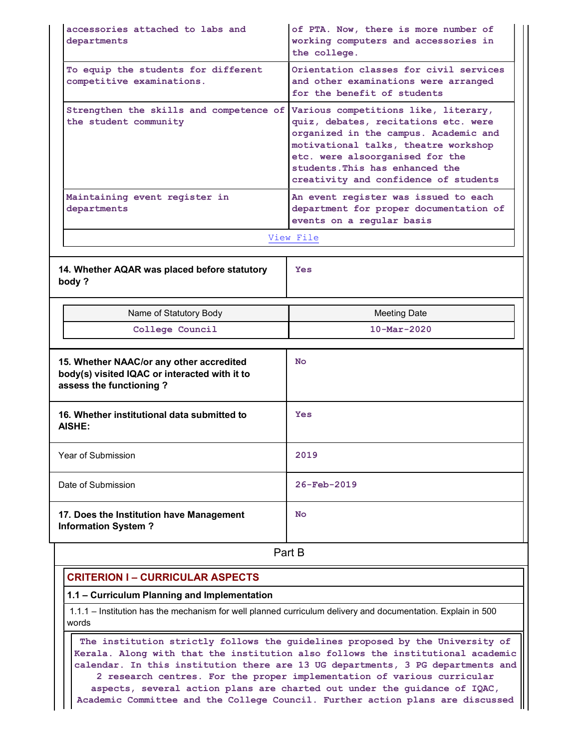| departments                                                                                                                                                                                                                                                                                                         | of PTA. Now, there is more number of<br>working computers and accessories in<br>the college.                                                                                                                                         |  |  |  |  |  |
|---------------------------------------------------------------------------------------------------------------------------------------------------------------------------------------------------------------------------------------------------------------------------------------------------------------------|--------------------------------------------------------------------------------------------------------------------------------------------------------------------------------------------------------------------------------------|--|--|--|--|--|
| To equip the students for different<br>competitive examinations.                                                                                                                                                                                                                                                    | Orientation classes for civil services<br>and other examinations were arranged<br>for the benefit of students                                                                                                                        |  |  |  |  |  |
| Strengthen the skills and competence of Various competitions like, literary,<br>the student community                                                                                                                                                                                                               | quiz, debates, recitations etc. were<br>organized in the campus. Academic and<br>motivational talks, theatre workshop<br>etc. were alsoorganised for the<br>students. This has enhanced the<br>creativity and confidence of students |  |  |  |  |  |
| Maintaining event register in<br>departments                                                                                                                                                                                                                                                                        | An event register was issued to each<br>department for proper documentation of<br>events on a regular basis                                                                                                                          |  |  |  |  |  |
|                                                                                                                                                                                                                                                                                                                     | View File                                                                                                                                                                                                                            |  |  |  |  |  |
| 14. Whether AQAR was placed before statutory<br>body?                                                                                                                                                                                                                                                               | Yes                                                                                                                                                                                                                                  |  |  |  |  |  |
| Name of Statutory Body                                                                                                                                                                                                                                                                                              | <b>Meeting Date</b>                                                                                                                                                                                                                  |  |  |  |  |  |
| College Council                                                                                                                                                                                                                                                                                                     | $10 - \text{Mar} - 2020$                                                                                                                                                                                                             |  |  |  |  |  |
|                                                                                                                                                                                                                                                                                                                     | $N_{\Omega}$                                                                                                                                                                                                                         |  |  |  |  |  |
|                                                                                                                                                                                                                                                                                                                     | <b>Yes</b>                                                                                                                                                                                                                           |  |  |  |  |  |
|                                                                                                                                                                                                                                                                                                                     |                                                                                                                                                                                                                                      |  |  |  |  |  |
|                                                                                                                                                                                                                                                                                                                     | 2019                                                                                                                                                                                                                                 |  |  |  |  |  |
|                                                                                                                                                                                                                                                                                                                     | $26 - \text{Feb} - 2019$                                                                                                                                                                                                             |  |  |  |  |  |
|                                                                                                                                                                                                                                                                                                                     | No                                                                                                                                                                                                                                   |  |  |  |  |  |
|                                                                                                                                                                                                                                                                                                                     | Part B                                                                                                                                                                                                                               |  |  |  |  |  |
| <b>CRITERION I - CURRICULAR ASPECTS</b>                                                                                                                                                                                                                                                                             |                                                                                                                                                                                                                                      |  |  |  |  |  |
| 1.1 - Curriculum Planning and Implementation                                                                                                                                                                                                                                                                        |                                                                                                                                                                                                                                      |  |  |  |  |  |
| 15. Whether NAAC/or any other accredited<br>body(s) visited IQAC or interacted with it to<br>assess the functioning?<br>16. Whether institutional data submitted to<br><b>AISHE:</b><br>Year of Submission<br>Date of Submission<br>17. Does the Institution have Management<br><b>Information System?</b><br>words | 1.1.1 - Institution has the mechanism for well planned curriculum delivery and documentation. Explain in 500                                                                                                                         |  |  |  |  |  |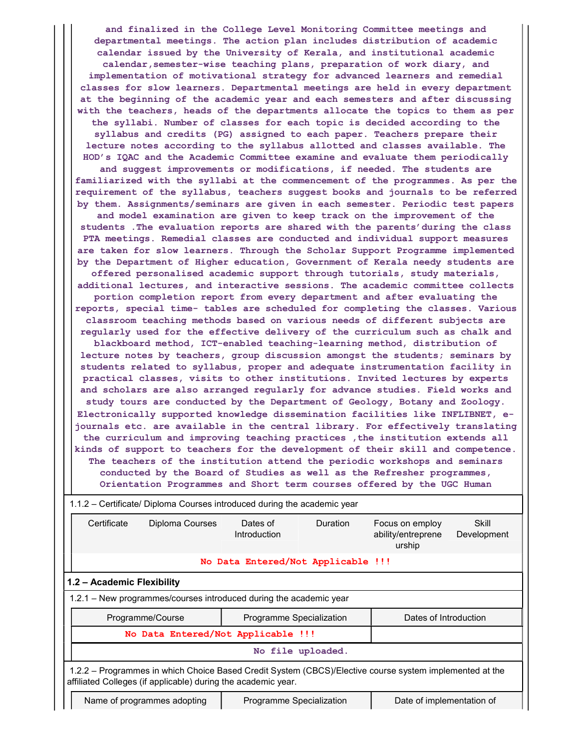and finalized in the College Level Monitoring Committee meetings and departmental meetings. The action plan includes distribution of academic calendar issued by the University of Kerala, and institutional academic calendar, semester-wise teaching plans, preparation of work diary, and implementation of motivational strategy for advanced learners and remedial classes for slow learners. Departmental meetings are held in every department at the beginning of the academic year and each semesters and after discussing with the teachers, heads of the departments allocate the topics to them as per the syllabi. Number of classes for each topic is decided according to the syllabus and credits (PG) assigned to each paper. Teachers prepare their lecture notes according to the syllabus allotted and classes available. The HOD's IQAC and the Academic Committee examine and evaluate them periodically and suggest improvements or modifications, if needed. The students are familiarized with the syllabi at the commencement of the programmes. As per the requirement of the syllabus, teachers suggest books and journals to be referred by them. Assignments/seminars are given in each semester. Periodic test papers and model examination are given to keep track on the improvement of the students .The evaluation reports are shared with the parents'during the class PTA meetings. Remedial classes are conducted and individual support measures are taken for slow learners. Through the Scholar Support Programme implemented by the Department of Higher education, Government of Kerala needy students are offered personalised academic support through tutorials, study materials, additional lectures, and interactive sessions. The academic committee collects portion completion report from every department and after evaluating the reports, special time- tables are scheduled for completing the classes. Various classroom teaching methods based on various needs of different subjects are regularly used for the effective delivery of the curriculum such as chalk and blackboard method, ICT-enabled teaching-learning method, distribution of lecture notes by teachers, group discussion amongst the students; seminars by students related to syllabus, proper and adequate instrumentation facility in practical classes, visits to other institutions. Invited lectures by experts and scholars are also arranged regularly for advance studies. Field works and study tours are conducted by the Department of Geology, Botany and Zoology. Electronically supported knowledge dissemination facilities like INFLIBNET, ejournals etc. are available in the central library. For effectively translating the curriculum and improving teaching practices , the institution extends all kinds of support to teachers for the development of their skill and competence. The teachers of the institution attend the periodic workshops and seminars conducted by the Board of Studies as well as the Refresher programmes, Orientation Programmes and Short term courses offered by the UGC Human

|                                                                                                                                                                          |                                    | 1.1.2 – Certificate/ Diploma Courses introduced during the academic year |          |                                                 |                      |  |  |  |  |
|--------------------------------------------------------------------------------------------------------------------------------------------------------------------------|------------------------------------|--------------------------------------------------------------------------|----------|-------------------------------------------------|----------------------|--|--|--|--|
| Certificate                                                                                                                                                              | Diploma Courses                    | Dates of<br>Introduction                                                 | Duration | Focus on employ<br>ability/entreprene<br>urship | Skill<br>Development |  |  |  |  |
|                                                                                                                                                                          |                                    | No Data Entered/Not Applicable !!!                                       |          |                                                 |                      |  |  |  |  |
|                                                                                                                                                                          | 1.2 - Academic Flexibility         |                                                                          |          |                                                 |                      |  |  |  |  |
|                                                                                                                                                                          |                                    | 1.2.1 - New programmes/courses introduced during the academic year       |          |                                                 |                      |  |  |  |  |
|                                                                                                                                                                          | Programme/Course                   | Programme Specialization                                                 |          | Dates of Introduction                           |                      |  |  |  |  |
|                                                                                                                                                                          | No Data Entered/Not Applicable !!! |                                                                          |          |                                                 |                      |  |  |  |  |
| No file uploaded.                                                                                                                                                        |                                    |                                                                          |          |                                                 |                      |  |  |  |  |
| 1.2.2 - Programmes in which Choice Based Credit System (CBCS)/Elective course system implemented at the<br>affiliated Colleges (if applicable) during the academic year. |                                    |                                                                          |          |                                                 |                      |  |  |  |  |
|                                                                                                                                                                          | Name of programmes adopting        | Programme Specialization                                                 |          | Date of implementation of                       |                      |  |  |  |  |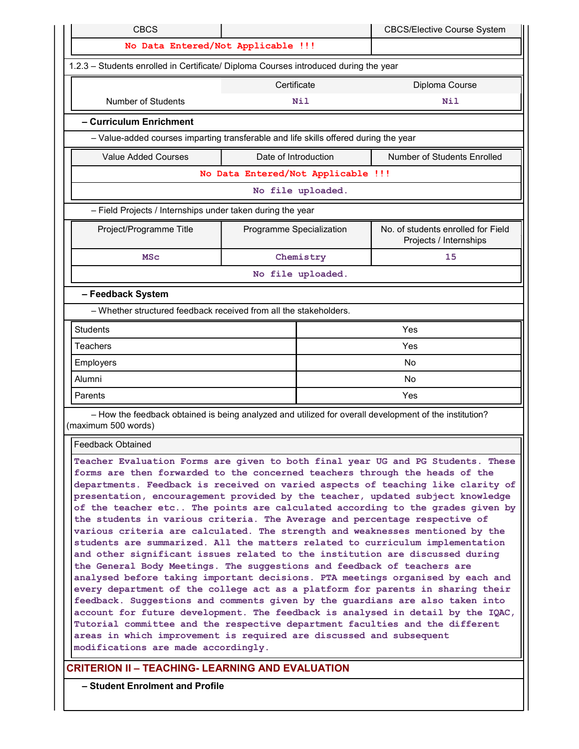| No Data Entered/Not Applicable !!!<br>Certificate<br><b>Number of Students</b><br>Nil<br>- Curriculum Enrichment<br><b>Value Added Courses</b><br>Date of Introduction<br>No file uploaded.<br>- Field Projects / Internships under taken during the year<br>Project/Programme Title<br>Programme Specialization<br>Chemistry<br><b>MSc</b><br>No file uploaded.<br>- Feedback System<br>- Whether structured feedback received from all the stakeholders.                                                                                                                                                                                                                                                                                                                                                                                                                                                                                                                                                                                                                                                                                                                                                                                                                                                                                                            |                                                                                      |  |  |  |  |  |  |  |  |
|-----------------------------------------------------------------------------------------------------------------------------------------------------------------------------------------------------------------------------------------------------------------------------------------------------------------------------------------------------------------------------------------------------------------------------------------------------------------------------------------------------------------------------------------------------------------------------------------------------------------------------------------------------------------------------------------------------------------------------------------------------------------------------------------------------------------------------------------------------------------------------------------------------------------------------------------------------------------------------------------------------------------------------------------------------------------------------------------------------------------------------------------------------------------------------------------------------------------------------------------------------------------------------------------------------------------------------------------------------------------------|--------------------------------------------------------------------------------------|--|--|--|--|--|--|--|--|
|                                                                                                                                                                                                                                                                                                                                                                                                                                                                                                                                                                                                                                                                                                                                                                                                                                                                                                                                                                                                                                                                                                                                                                                                                                                                                                                                                                       |                                                                                      |  |  |  |  |  |  |  |  |
|                                                                                                                                                                                                                                                                                                                                                                                                                                                                                                                                                                                                                                                                                                                                                                                                                                                                                                                                                                                                                                                                                                                                                                                                                                                                                                                                                                       | 1.2.3 - Students enrolled in Certificate/ Diploma Courses introduced during the year |  |  |  |  |  |  |  |  |
|                                                                                                                                                                                                                                                                                                                                                                                                                                                                                                                                                                                                                                                                                                                                                                                                                                                                                                                                                                                                                                                                                                                                                                                                                                                                                                                                                                       | Diploma Course                                                                       |  |  |  |  |  |  |  |  |
|                                                                                                                                                                                                                                                                                                                                                                                                                                                                                                                                                                                                                                                                                                                                                                                                                                                                                                                                                                                                                                                                                                                                                                                                                                                                                                                                                                       | Nil                                                                                  |  |  |  |  |  |  |  |  |
|                                                                                                                                                                                                                                                                                                                                                                                                                                                                                                                                                                                                                                                                                                                                                                                                                                                                                                                                                                                                                                                                                                                                                                                                                                                                                                                                                                       |                                                                                      |  |  |  |  |  |  |  |  |
|                                                                                                                                                                                                                                                                                                                                                                                                                                                                                                                                                                                                                                                                                                                                                                                                                                                                                                                                                                                                                                                                                                                                                                                                                                                                                                                                                                       | - Value-added courses imparting transferable and life skills offered during the year |  |  |  |  |  |  |  |  |
|                                                                                                                                                                                                                                                                                                                                                                                                                                                                                                                                                                                                                                                                                                                                                                                                                                                                                                                                                                                                                                                                                                                                                                                                                                                                                                                                                                       | <b>Number of Students Enrolled</b>                                                   |  |  |  |  |  |  |  |  |
|                                                                                                                                                                                                                                                                                                                                                                                                                                                                                                                                                                                                                                                                                                                                                                                                                                                                                                                                                                                                                                                                                                                                                                                                                                                                                                                                                                       | No Data Entered/Not Applicable !!!                                                   |  |  |  |  |  |  |  |  |
|                                                                                                                                                                                                                                                                                                                                                                                                                                                                                                                                                                                                                                                                                                                                                                                                                                                                                                                                                                                                                                                                                                                                                                                                                                                                                                                                                                       |                                                                                      |  |  |  |  |  |  |  |  |
|                                                                                                                                                                                                                                                                                                                                                                                                                                                                                                                                                                                                                                                                                                                                                                                                                                                                                                                                                                                                                                                                                                                                                                                                                                                                                                                                                                       |                                                                                      |  |  |  |  |  |  |  |  |
|                                                                                                                                                                                                                                                                                                                                                                                                                                                                                                                                                                                                                                                                                                                                                                                                                                                                                                                                                                                                                                                                                                                                                                                                                                                                                                                                                                       | No. of students enrolled for Field<br>Projects / Internships                         |  |  |  |  |  |  |  |  |
|                                                                                                                                                                                                                                                                                                                                                                                                                                                                                                                                                                                                                                                                                                                                                                                                                                                                                                                                                                                                                                                                                                                                                                                                                                                                                                                                                                       | 15                                                                                   |  |  |  |  |  |  |  |  |
|                                                                                                                                                                                                                                                                                                                                                                                                                                                                                                                                                                                                                                                                                                                                                                                                                                                                                                                                                                                                                                                                                                                                                                                                                                                                                                                                                                       |                                                                                      |  |  |  |  |  |  |  |  |
|                                                                                                                                                                                                                                                                                                                                                                                                                                                                                                                                                                                                                                                                                                                                                                                                                                                                                                                                                                                                                                                                                                                                                                                                                                                                                                                                                                       |                                                                                      |  |  |  |  |  |  |  |  |
|                                                                                                                                                                                                                                                                                                                                                                                                                                                                                                                                                                                                                                                                                                                                                                                                                                                                                                                                                                                                                                                                                                                                                                                                                                                                                                                                                                       |                                                                                      |  |  |  |  |  |  |  |  |
| <b>Students</b>                                                                                                                                                                                                                                                                                                                                                                                                                                                                                                                                                                                                                                                                                                                                                                                                                                                                                                                                                                                                                                                                                                                                                                                                                                                                                                                                                       | Yes                                                                                  |  |  |  |  |  |  |  |  |
| <b>Teachers</b>                                                                                                                                                                                                                                                                                                                                                                                                                                                                                                                                                                                                                                                                                                                                                                                                                                                                                                                                                                                                                                                                                                                                                                                                                                                                                                                                                       | Yes                                                                                  |  |  |  |  |  |  |  |  |
| Employers                                                                                                                                                                                                                                                                                                                                                                                                                                                                                                                                                                                                                                                                                                                                                                                                                                                                                                                                                                                                                                                                                                                                                                                                                                                                                                                                                             | No                                                                                   |  |  |  |  |  |  |  |  |
| Alumni                                                                                                                                                                                                                                                                                                                                                                                                                                                                                                                                                                                                                                                                                                                                                                                                                                                                                                                                                                                                                                                                                                                                                                                                                                                                                                                                                                | No                                                                                   |  |  |  |  |  |  |  |  |
| Parents                                                                                                                                                                                                                                                                                                                                                                                                                                                                                                                                                                                                                                                                                                                                                                                                                                                                                                                                                                                                                                                                                                                                                                                                                                                                                                                                                               | Yes                                                                                  |  |  |  |  |  |  |  |  |
| - How the feedback obtained is being analyzed and utilized for overall development of the institution?<br>(maximum 500 words)                                                                                                                                                                                                                                                                                                                                                                                                                                                                                                                                                                                                                                                                                                                                                                                                                                                                                                                                                                                                                                                                                                                                                                                                                                         |                                                                                      |  |  |  |  |  |  |  |  |
| <b>Feedback Obtained</b>                                                                                                                                                                                                                                                                                                                                                                                                                                                                                                                                                                                                                                                                                                                                                                                                                                                                                                                                                                                                                                                                                                                                                                                                                                                                                                                                              |                                                                                      |  |  |  |  |  |  |  |  |
| Teacher Evaluation Forms are given to both final year UG and PG Students. These<br>forms are then forwarded to the concerned teachers through the heads of the<br>departments. Feedback is received on varied aspects of teaching like clarity of<br>presentation, encouragement provided by the teacher, updated subject knowledge<br>of the teacher etc The points are calculated according to the grades given by<br>the students in various criteria. The Average and percentage respective of<br>various criteria are calculated. The strength and weaknesses mentioned by the<br>students are summarized. All the matters related to curriculum implementation<br>and other significant issues related to the institution are discussed during<br>the General Body Meetings. The suggestions and feedback of teachers are<br>analysed before taking important decisions. PTA meetings organised by each and<br>every department of the college act as a platform for parents in sharing their<br>feedback. Suggestions and comments given by the guardians are also taken into<br>account for future development. The feedback is analysed in detail by the IQAC,<br>Tutorial committee and the respective department faculties and the different<br>areas in which improvement is required are discussed and subsequent<br>modifications are made accordingly. |                                                                                      |  |  |  |  |  |  |  |  |

– Student Enrolment and Profile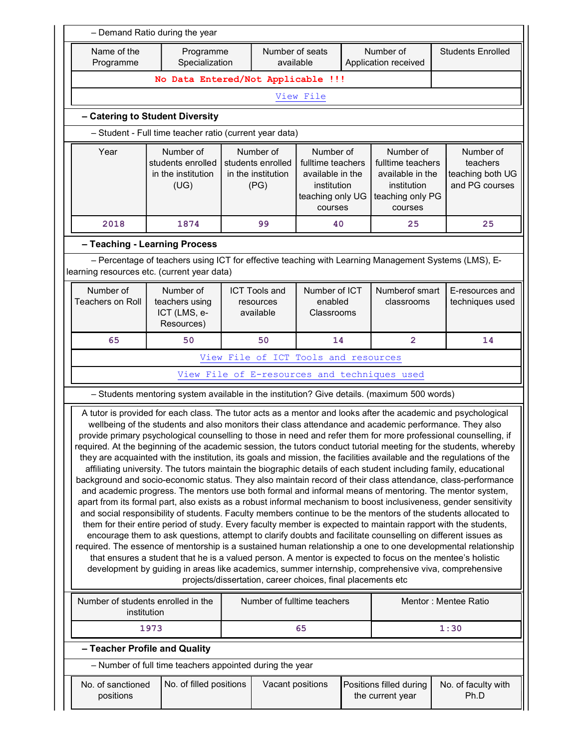| Name of the<br>Programme                                                                                                                                                                                                                                                                                                                                                                                                                                                                                                                                                                                                                                                                                                                                                                                                                                                                                                                                                                                                                                                                                                                                                                                                                                                                                                                                                                                                                                                                                                                                                                                                                                                                                                                                                                                            | Programme<br>Specialization                                                                          |                                                                                                                                                                  | Number of seats                                |                                        |  | Number of                                                                                        |                                                             |                |  |                                    |  |  |  |
|---------------------------------------------------------------------------------------------------------------------------------------------------------------------------------------------------------------------------------------------------------------------------------------------------------------------------------------------------------------------------------------------------------------------------------------------------------------------------------------------------------------------------------------------------------------------------------------------------------------------------------------------------------------------------------------------------------------------------------------------------------------------------------------------------------------------------------------------------------------------------------------------------------------------------------------------------------------------------------------------------------------------------------------------------------------------------------------------------------------------------------------------------------------------------------------------------------------------------------------------------------------------------------------------------------------------------------------------------------------------------------------------------------------------------------------------------------------------------------------------------------------------------------------------------------------------------------------------------------------------------------------------------------------------------------------------------------------------------------------------------------------------------------------------------------------------|------------------------------------------------------------------------------------------------------|------------------------------------------------------------------------------------------------------------------------------------------------------------------|------------------------------------------------|----------------------------------------|--|--------------------------------------------------------------------------------------------------|-------------------------------------------------------------|----------------|--|------------------------------------|--|--|--|
|                                                                                                                                                                                                                                                                                                                                                                                                                                                                                                                                                                                                                                                                                                                                                                                                                                                                                                                                                                                                                                                                                                                                                                                                                                                                                                                                                                                                                                                                                                                                                                                                                                                                                                                                                                                                                     |                                                                                                      |                                                                                                                                                                  | available                                      | <b>Students Enrolled</b>               |  |                                                                                                  |                                                             |                |  |                                    |  |  |  |
|                                                                                                                                                                                                                                                                                                                                                                                                                                                                                                                                                                                                                                                                                                                                                                                                                                                                                                                                                                                                                                                                                                                                                                                                                                                                                                                                                                                                                                                                                                                                                                                                                                                                                                                                                                                                                     |                                                                                                      | No Data Entered/Not Applicable !!!                                                                                                                               |                                                |                                        |  |                                                                                                  |                                                             |                |  |                                    |  |  |  |
|                                                                                                                                                                                                                                                                                                                                                                                                                                                                                                                                                                                                                                                                                                                                                                                                                                                                                                                                                                                                                                                                                                                                                                                                                                                                                                                                                                                                                                                                                                                                                                                                                                                                                                                                                                                                                     |                                                                                                      |                                                                                                                                                                  |                                                | View File                              |  |                                                                                                  |                                                             |                |  |                                    |  |  |  |
|                                                                                                                                                                                                                                                                                                                                                                                                                                                                                                                                                                                                                                                                                                                                                                                                                                                                                                                                                                                                                                                                                                                                                                                                                                                                                                                                                                                                                                                                                                                                                                                                                                                                                                                                                                                                                     | - Catering to Student Diversity                                                                      |                                                                                                                                                                  |                                                |                                        |  |                                                                                                  |                                                             |                |  |                                    |  |  |  |
|                                                                                                                                                                                                                                                                                                                                                                                                                                                                                                                                                                                                                                                                                                                                                                                                                                                                                                                                                                                                                                                                                                                                                                                                                                                                                                                                                                                                                                                                                                                                                                                                                                                                                                                                                                                                                     | - Student - Full time teacher ratio (current year data)                                              |                                                                                                                                                                  |                                                |                                        |  |                                                                                                  |                                                             |                |  |                                    |  |  |  |
| Year                                                                                                                                                                                                                                                                                                                                                                                                                                                                                                                                                                                                                                                                                                                                                                                                                                                                                                                                                                                                                                                                                                                                                                                                                                                                                                                                                                                                                                                                                                                                                                                                                                                                                                                                                                                                                | Number of<br>students enrolled<br>in the institution<br>(UG)                                         | Number of<br>Number of<br>students enrolled<br>fulltime teachers<br>in the institution<br>available in the<br>(PG)<br>institution<br>teaching only UG<br>courses |                                                |                                        |  | Number of<br>fulltime teachers<br>available in the<br>institution<br>teaching only PG<br>courses | Number of<br>teachers<br>teaching both UG<br>and PG courses |                |  |                                    |  |  |  |
| 2018                                                                                                                                                                                                                                                                                                                                                                                                                                                                                                                                                                                                                                                                                                                                                                                                                                                                                                                                                                                                                                                                                                                                                                                                                                                                                                                                                                                                                                                                                                                                                                                                                                                                                                                                                                                                                | 1874                                                                                                 |                                                                                                                                                                  | 99                                             | 40                                     |  | 25                                                                                               | 25                                                          |                |  |                                    |  |  |  |
|                                                                                                                                                                                                                                                                                                                                                                                                                                                                                                                                                                                                                                                                                                                                                                                                                                                                                                                                                                                                                                                                                                                                                                                                                                                                                                                                                                                                                                                                                                                                                                                                                                                                                                                                                                                                                     | - Teaching - Learning Process                                                                        |                                                                                                                                                                  |                                                |                                        |  |                                                                                                  |                                                             |                |  |                                    |  |  |  |
| learning resources etc. (current year data)                                                                                                                                                                                                                                                                                                                                                                                                                                                                                                                                                                                                                                                                                                                                                                                                                                                                                                                                                                                                                                                                                                                                                                                                                                                                                                                                                                                                                                                                                                                                                                                                                                                                                                                                                                         | - Percentage of teachers using ICT for effective teaching with Learning Management Systems (LMS), E- |                                                                                                                                                                  |                                                |                                        |  |                                                                                                  |                                                             |                |  |                                    |  |  |  |
| Number of<br><b>Teachers on Roll</b>                                                                                                                                                                                                                                                                                                                                                                                                                                                                                                                                                                                                                                                                                                                                                                                                                                                                                                                                                                                                                                                                                                                                                                                                                                                                                                                                                                                                                                                                                                                                                                                                                                                                                                                                                                                | Number of<br>teachers using<br>ICT (LMS, e-<br>Resources)                                            |                                                                                                                                                                  | <b>ICT Tools and</b><br>resources<br>available | Number of ICT<br>enabled<br>Classrooms |  | classrooms                                                                                       |                                                             | Numberof smart |  | E-resources and<br>techniques used |  |  |  |
| 65                                                                                                                                                                                                                                                                                                                                                                                                                                                                                                                                                                                                                                                                                                                                                                                                                                                                                                                                                                                                                                                                                                                                                                                                                                                                                                                                                                                                                                                                                                                                                                                                                                                                                                                                                                                                                  | 50                                                                                                   |                                                                                                                                                                  | 50                                             | 14                                     |  | $\overline{2}$                                                                                   | 14                                                          |                |  |                                    |  |  |  |
|                                                                                                                                                                                                                                                                                                                                                                                                                                                                                                                                                                                                                                                                                                                                                                                                                                                                                                                                                                                                                                                                                                                                                                                                                                                                                                                                                                                                                                                                                                                                                                                                                                                                                                                                                                                                                     |                                                                                                      |                                                                                                                                                                  | View File of ICT Tools and resources           |                                        |  |                                                                                                  |                                                             |                |  |                                    |  |  |  |
|                                                                                                                                                                                                                                                                                                                                                                                                                                                                                                                                                                                                                                                                                                                                                                                                                                                                                                                                                                                                                                                                                                                                                                                                                                                                                                                                                                                                                                                                                                                                                                                                                                                                                                                                                                                                                     |                                                                                                      |                                                                                                                                                                  |                                                |                                        |  | View File of E-resources and techniques used                                                     |                                                             |                |  |                                    |  |  |  |
|                                                                                                                                                                                                                                                                                                                                                                                                                                                                                                                                                                                                                                                                                                                                                                                                                                                                                                                                                                                                                                                                                                                                                                                                                                                                                                                                                                                                                                                                                                                                                                                                                                                                                                                                                                                                                     | - Students mentoring system available in the institution? Give details. (maximum 500 words)          |                                                                                                                                                                  |                                                |                                        |  |                                                                                                  |                                                             |                |  |                                    |  |  |  |
| A tutor is provided for each class. The tutor acts as a mentor and looks after the academic and psychological<br>wellbeing of the students and also monitors their class attendance and academic performance. They also<br>provide primary psychological counselling to those in need and refer them for more professional counselling, if<br>required. At the beginning of the academic session, the tutors conduct tutorial meeting for the students, whereby<br>they are acquainted with the institution, its goals and mission, the facilities available and the regulations of the<br>affiliating university. The tutors maintain the biographic details of each student including family, educational<br>background and socio-economic status. They also maintain record of their class attendance, class-performance<br>and academic progress. The mentors use both formal and informal means of mentoring. The mentor system,<br>apart from its formal part, also exists as a robust informal mechanism to boost inclusiveness, gender sensitivity<br>and social responsibility of students. Faculty members continue to be the mentors of the students allocated to<br>them for their entire period of study. Every faculty member is expected to maintain rapport with the students,<br>encourage them to ask questions, attempt to clarify doubts and facilitate counselling on different issues as<br>required. The essence of mentorship is a sustained human relationship a one to one developmental relationship<br>that ensures a student that he is a valued person. A mentor is expected to focus on the mentee's holistic<br>development by guiding in areas like academics, summer internship, comprehensive viva, comprehensive<br>projects/dissertation, career choices, final placements etc |                                                                                                      |                                                                                                                                                                  |                                                |                                        |  |                                                                                                  |                                                             |                |  |                                    |  |  |  |
| Number of students enrolled in the<br>institution                                                                                                                                                                                                                                                                                                                                                                                                                                                                                                                                                                                                                                                                                                                                                                                                                                                                                                                                                                                                                                                                                                                                                                                                                                                                                                                                                                                                                                                                                                                                                                                                                                                                                                                                                                   |                                                                                                      |                                                                                                                                                                  | Number of fulltime teachers                    |                                        |  |                                                                                                  | Mentor: Mentee Ratio                                        |                |  |                                    |  |  |  |
|                                                                                                                                                                                                                                                                                                                                                                                                                                                                                                                                                                                                                                                                                                                                                                                                                                                                                                                                                                                                                                                                                                                                                                                                                                                                                                                                                                                                                                                                                                                                                                                                                                                                                                                                                                                                                     | 1973                                                                                                 |                                                                                                                                                                  |                                                | 65                                     |  |                                                                                                  | 1:30                                                        |                |  |                                    |  |  |  |
| - Teacher Profile and Quality                                                                                                                                                                                                                                                                                                                                                                                                                                                                                                                                                                                                                                                                                                                                                                                                                                                                                                                                                                                                                                                                                                                                                                                                                                                                                                                                                                                                                                                                                                                                                                                                                                                                                                                                                                                       |                                                                                                      |                                                                                                                                                                  |                                                |                                        |  |                                                                                                  |                                                             |                |  |                                    |  |  |  |
|                                                                                                                                                                                                                                                                                                                                                                                                                                                                                                                                                                                                                                                                                                                                                                                                                                                                                                                                                                                                                                                                                                                                                                                                                                                                                                                                                                                                                                                                                                                                                                                                                                                                                                                                                                                                                     | - Number of full time teachers appointed during the year                                             |                                                                                                                                                                  |                                                |                                        |  |                                                                                                  |                                                             |                |  |                                    |  |  |  |
| No. of sanctioned<br>positions                                                                                                                                                                                                                                                                                                                                                                                                                                                                                                                                                                                                                                                                                                                                                                                                                                                                                                                                                                                                                                                                                                                                                                                                                                                                                                                                                                                                                                                                                                                                                                                                                                                                                                                                                                                      | No. of filled positions                                                                              |                                                                                                                                                                  | Vacant positions                               |                                        |  | Positions filled during<br>the current year                                                      | No. of faculty with<br>Ph.D                                 |                |  |                                    |  |  |  |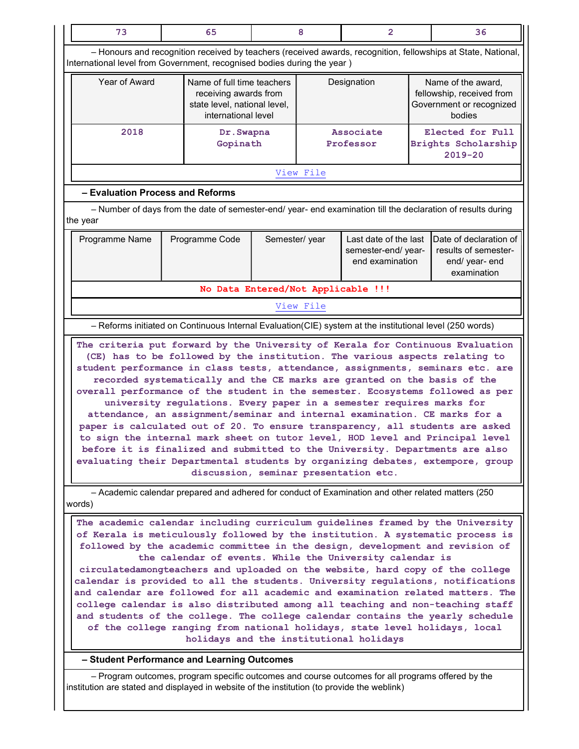| 73                                                                                                                                                                                                                                                                                                                                                                                                                                                                                                                                                                                                                                                                                                                                                                                                                                                                |                                                                                                   | 65                                                                                                                        |                                                         | 8                                                                                     | $\overline{2}$                                                                                     |                                                                                 | 36                                                                                                           |  |
|-------------------------------------------------------------------------------------------------------------------------------------------------------------------------------------------------------------------------------------------------------------------------------------------------------------------------------------------------------------------------------------------------------------------------------------------------------------------------------------------------------------------------------------------------------------------------------------------------------------------------------------------------------------------------------------------------------------------------------------------------------------------------------------------------------------------------------------------------------------------|---------------------------------------------------------------------------------------------------|---------------------------------------------------------------------------------------------------------------------------|---------------------------------------------------------|---------------------------------------------------------------------------------------|----------------------------------------------------------------------------------------------------|---------------------------------------------------------------------------------|--------------------------------------------------------------------------------------------------------------|--|
| - Honours and recognition received by teachers (received awards, recognition, fellowships at State, National,<br>International level from Government, recognised bodies during the year)                                                                                                                                                                                                                                                                                                                                                                                                                                                                                                                                                                                                                                                                          |                                                                                                   |                                                                                                                           |                                                         |                                                                                       |                                                                                                    |                                                                                 |                                                                                                              |  |
| Year of Award                                                                                                                                                                                                                                                                                                                                                                                                                                                                                                                                                                                                                                                                                                                                                                                                                                                     |                                                                                                   | Name of full time teachers<br>Designation<br>receiving awards from<br>state level, national level,<br>international level |                                                         | Name of the award,<br>fellowship, received from<br>Government or recognized<br>bodies |                                                                                                    |                                                                                 |                                                                                                              |  |
| 2018                                                                                                                                                                                                                                                                                                                                                                                                                                                                                                                                                                                                                                                                                                                                                                                                                                                              |                                                                                                   |                                                                                                                           | <b>Associate</b><br>Dr. Swapna<br>Gopinath<br>Professor |                                                                                       |                                                                                                    | Elected for Full<br>Brights Scholarship<br>$2019 - 20$                          |                                                                                                              |  |
|                                                                                                                                                                                                                                                                                                                                                                                                                                                                                                                                                                                                                                                                                                                                                                                                                                                                   |                                                                                                   |                                                                                                                           |                                                         | View File                                                                             |                                                                                                    |                                                                                 |                                                                                                              |  |
| - Evaluation Process and Reforms                                                                                                                                                                                                                                                                                                                                                                                                                                                                                                                                                                                                                                                                                                                                                                                                                                  |                                                                                                   |                                                                                                                           |                                                         |                                                                                       |                                                                                                    |                                                                                 |                                                                                                              |  |
| the year                                                                                                                                                                                                                                                                                                                                                                                                                                                                                                                                                                                                                                                                                                                                                                                                                                                          |                                                                                                   |                                                                                                                           |                                                         |                                                                                       |                                                                                                    |                                                                                 | - Number of days from the date of semester-end/ year- end examination till the declaration of results during |  |
| Programme Name                                                                                                                                                                                                                                                                                                                                                                                                                                                                                                                                                                                                                                                                                                                                                                                                                                                    |                                                                                                   | Programme Code                                                                                                            | Semester/year                                           |                                                                                       | Last date of the last<br>semester-end/ year-<br>end examination                                    | Date of declaration of<br>results of semester-<br>end/ year- end<br>examination |                                                                                                              |  |
|                                                                                                                                                                                                                                                                                                                                                                                                                                                                                                                                                                                                                                                                                                                                                                                                                                                                   |                                                                                                   | No Data Entered/Not Applicable !!!                                                                                        |                                                         |                                                                                       |                                                                                                    |                                                                                 |                                                                                                              |  |
|                                                                                                                                                                                                                                                                                                                                                                                                                                                                                                                                                                                                                                                                                                                                                                                                                                                                   |                                                                                                   |                                                                                                                           |                                                         | View File                                                                             |                                                                                                    |                                                                                 |                                                                                                              |  |
| - Reforms initiated on Continuous Internal Evaluation(CIE) system at the institutional level (250 words)                                                                                                                                                                                                                                                                                                                                                                                                                                                                                                                                                                                                                                                                                                                                                          |                                                                                                   |                                                                                                                           |                                                         |                                                                                       |                                                                                                    |                                                                                 |                                                                                                              |  |
| (CE) has to be followed by the institution. The various aspects relating to<br>student performance in class tests, attendance, assignments, seminars etc. are<br>recorded systematically and the CE marks are granted on the basis of the<br>overall performance of the student in the semester. Ecosystems followed as per<br>university regulations. Every paper in a semester requires marks for<br>attendance, an assignment/seminar and internal examination. CE marks for a<br>paper is calculated out of 20. To ensure transparency, all students are asked<br>to sign the internal mark sheet on tutor level, HOD level and Principal level<br>before it is finalized and submitted to the University. Departments are also<br>evaluating their Departmental students by organizing debates, extempore, group<br>discussion, seminar presentation etc.    |                                                                                                   |                                                                                                                           |                                                         |                                                                                       |                                                                                                    |                                                                                 |                                                                                                              |  |
| words)                                                                                                                                                                                                                                                                                                                                                                                                                                                                                                                                                                                                                                                                                                                                                                                                                                                            |                                                                                                   |                                                                                                                           |                                                         |                                                                                       | - Academic calendar prepared and adhered for conduct of Examination and other related matters (250 |                                                                                 |                                                                                                              |  |
| The academic calendar including curriculum guidelines framed by the University<br>of Kerala is meticulously followed by the institution. A systematic process is<br>followed by the academic committee in the design, development and revision of<br>the calendar of events. While the University calendar is<br>circulatedamongteachers and uploaded on the website, hard copy of the college<br>calendar is provided to all the students. University regulations, notifications<br>and calendar are followed for all academic and examination related matters. The<br>college calendar is also distributed among all teaching and non-teaching staff<br>and students of the college. The college calendar contains the yearly schedule<br>of the college ranging from national holidays, state level holidays, local<br>holidays and the institutional holidays |                                                                                                   |                                                                                                                           |                                                         |                                                                                       |                                                                                                    |                                                                                 |                                                                                                              |  |
| - Student Performance and Learning Outcomes                                                                                                                                                                                                                                                                                                                                                                                                                                                                                                                                                                                                                                                                                                                                                                                                                       |                                                                                                   |                                                                                                                           |                                                         |                                                                                       |                                                                                                    |                                                                                 |                                                                                                              |  |
|                                                                                                                                                                                                                                                                                                                                                                                                                                                                                                                                                                                                                                                                                                                                                                                                                                                                   | - Program outcomes, program specific outcomes and course outcomes for all programs offered by the |                                                                                                                           |                                                         |                                                                                       |                                                                                                    |                                                                                 |                                                                                                              |  |

institution are stated and displayed in website of the institution (to provide the weblink)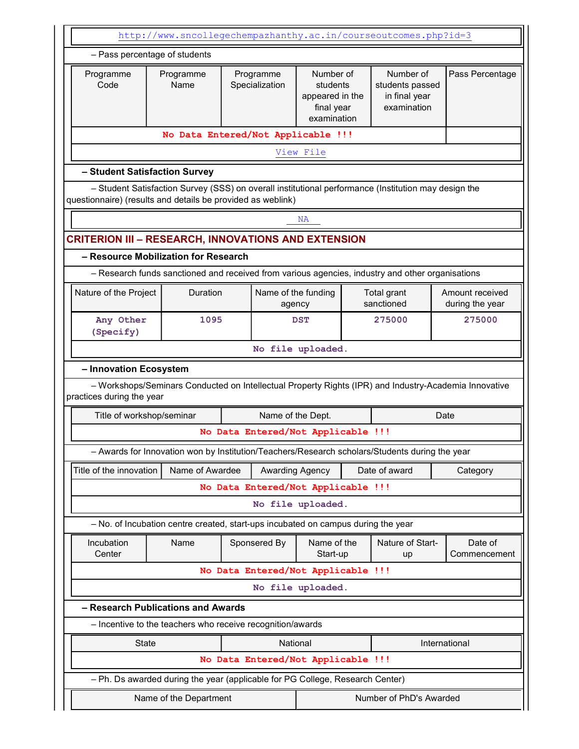|                                                             | http://www.sncollegechempazhanthy.ac.in/courseoutcomes.php?id=3                                      |                                                                                                                                                                      |                   |                                                |  |                        |                                                                                                       |
|-------------------------------------------------------------|------------------------------------------------------------------------------------------------------|----------------------------------------------------------------------------------------------------------------------------------------------------------------------|-------------------|------------------------------------------------|--|------------------------|-------------------------------------------------------------------------------------------------------|
|                                                             | - Pass percentage of students                                                                        |                                                                                                                                                                      |                   |                                                |  |                        |                                                                                                       |
| Programme<br>Code                                           | Programme<br>Name                                                                                    | Number of<br>Programme<br>Number of<br>Specialization<br>students<br>students passed<br>appeared in the<br>in final year<br>examination<br>final year<br>examination |                   |                                                |  | Pass Percentage        |                                                                                                       |
|                                                             | No Data Entered/Not Applicable !!!                                                                   |                                                                                                                                                                      |                   |                                                |  |                        |                                                                                                       |
|                                                             |                                                                                                      |                                                                                                                                                                      |                   | View File                                      |  |                        |                                                                                                       |
|                                                             | - Student Satisfaction Survey                                                                        |                                                                                                                                                                      |                   |                                                |  |                        |                                                                                                       |
| questionnaire) (results and details be provided as weblink) | - Student Satisfaction Survey (SSS) on overall institutional performance (Institution may design the |                                                                                                                                                                      |                   |                                                |  |                        |                                                                                                       |
|                                                             |                                                                                                      |                                                                                                                                                                      |                   | <b>NA</b>                                      |  |                        |                                                                                                       |
| <b>CRITERION III - RESEARCH, INNOVATIONS AND EXTENSION</b>  |                                                                                                      |                                                                                                                                                                      |                   |                                                |  |                        |                                                                                                       |
|                                                             | - Resource Mobilization for Research                                                                 |                                                                                                                                                                      |                   |                                                |  |                        |                                                                                                       |
|                                                             | - Research funds sanctioned and received from various agencies, industry and other organisations     |                                                                                                                                                                      |                   |                                                |  |                        |                                                                                                       |
| Nature of the Project                                       | Duration                                                                                             | Name of the funding<br>Total grant<br>sanctioned<br>agency                                                                                                           |                   |                                                |  |                        | Amount received<br>during the year                                                                    |
| Any Other<br>(Specify)                                      |                                                                                                      | 1095<br><b>DST</b>                                                                                                                                                   |                   |                                                |  | 275000                 | 275000                                                                                                |
|                                                             |                                                                                                      |                                                                                                                                                                      |                   | No file uploaded.                              |  |                        |                                                                                                       |
| - Innovation Ecosystem                                      |                                                                                                      |                                                                                                                                                                      |                   |                                                |  |                        |                                                                                                       |
| practices during the year                                   |                                                                                                      |                                                                                                                                                                      |                   |                                                |  |                        | - Workshops/Seminars Conducted on Intellectual Property Rights (IPR) and Industry-Academia Innovative |
| Title of workshop/seminar                                   |                                                                                                      |                                                                                                                                                                      | Name of the Dept. |                                                |  |                        | Date                                                                                                  |
|                                                             |                                                                                                      |                                                                                                                                                                      |                   | No Data Entered/Not Applicable !!!             |  |                        |                                                                                                       |
|                                                             | - Awards for Innovation won by Institution/Teachers/Research scholars/Students during the year       |                                                                                                                                                                      |                   |                                                |  |                        |                                                                                                       |
| Title of the innovation                                     | Name of Awardee                                                                                      |                                                                                                                                                                      |                   | <b>Awarding Agency</b>                         |  | Date of award          | Category                                                                                              |
|                                                             |                                                                                                      |                                                                                                                                                                      |                   | No Data Entered/Not Applicable !!!             |  |                        |                                                                                                       |
|                                                             |                                                                                                      |                                                                                                                                                                      |                   | No file uploaded.                              |  |                        |                                                                                                       |
|                                                             | - No. of Incubation centre created, start-ups incubated on campus during the year                    |                                                                                                                                                                      |                   |                                                |  |                        |                                                                                                       |
| Incubation<br>Center                                        | Name                                                                                                 |                                                                                                                                                                      | Sponsered By      | Name of the<br>Start-up                        |  | Nature of Start-<br>up | Date of<br>Commencement                                                                               |
|                                                             |                                                                                                      |                                                                                                                                                                      |                   | No Data Entered/Not Applicable !!!             |  |                        |                                                                                                       |
|                                                             |                                                                                                      |                                                                                                                                                                      |                   | No file uploaded.                              |  |                        |                                                                                                       |
|                                                             | - Research Publications and Awards                                                                   |                                                                                                                                                                      |                   |                                                |  |                        |                                                                                                       |
|                                                             | - Incentive to the teachers who receive recognition/awards                                           |                                                                                                                                                                      |                   |                                                |  |                        |                                                                                                       |
| <b>State</b>                                                |                                                                                                      |                                                                                                                                                                      |                   | National<br>No Data Entered/Not Applicable !!! |  |                        | International                                                                                         |
|                                                             | - Ph. Ds awarded during the year (applicable for PG College, Research Center)                        |                                                                                                                                                                      |                   |                                                |  |                        |                                                                                                       |
|                                                             |                                                                                                      |                                                                                                                                                                      |                   |                                                |  |                        |                                                                                                       |
| Number of PhD's Awarded<br>Name of the Department           |                                                                                                      |                                                                                                                                                                      |                   |                                                |  |                        |                                                                                                       |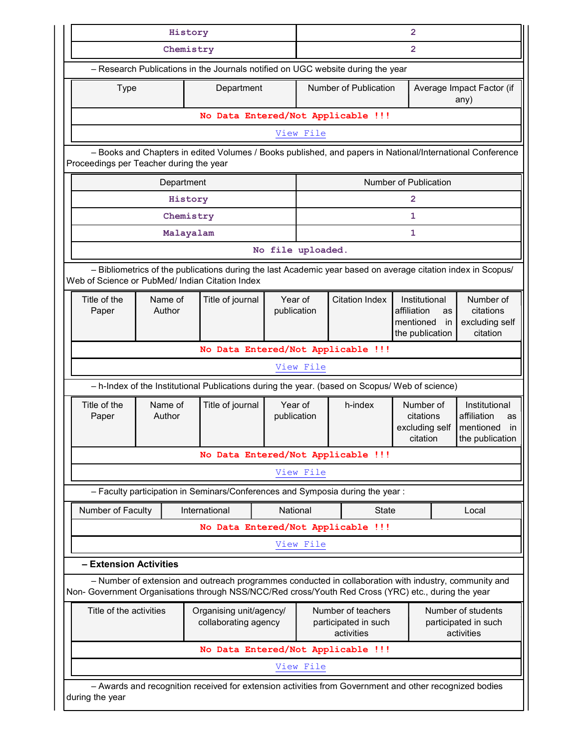| History                                    |                                                                                                                                                                                                    |            |                                                 |             | $\overline{2}$    |                                                                                                                                                                                                              |                                                                                 |                                                                          |                                                      |  |
|--------------------------------------------|----------------------------------------------------------------------------------------------------------------------------------------------------------------------------------------------------|------------|-------------------------------------------------|-------------|-------------------|--------------------------------------------------------------------------------------------------------------------------------------------------------------------------------------------------------------|---------------------------------------------------------------------------------|--------------------------------------------------------------------------|------------------------------------------------------|--|
|                                            |                                                                                                                                                                                                    | Chemistry  |                                                 |             | $\overline{2}$    |                                                                                                                                                                                                              |                                                                                 |                                                                          |                                                      |  |
|                                            |                                                                                                                                                                                                    |            |                                                 |             |                   | - Research Publications in the Journals notified on UGC website during the year                                                                                                                              |                                                                                 |                                                                          |                                                      |  |
| <b>Type</b>                                |                                                                                                                                                                                                    |            | Department                                      |             |                   | Number of Publication                                                                                                                                                                                        |                                                                                 |                                                                          | Average Impact Factor (if<br>any)                    |  |
|                                            |                                                                                                                                                                                                    |            | No Data Entered/Not Applicable !!!              |             |                   |                                                                                                                                                                                                              |                                                                                 |                                                                          |                                                      |  |
|                                            |                                                                                                                                                                                                    |            |                                                 |             | View File         |                                                                                                                                                                                                              |                                                                                 |                                                                          |                                                      |  |
| Proceedings per Teacher during the year    |                                                                                                                                                                                                    |            |                                                 |             |                   | - Books and Chapters in edited Volumes / Books published, and papers in National/International Conference                                                                                                    |                                                                                 |                                                                          |                                                      |  |
|                                            |                                                                                                                                                                                                    | Department |                                                 |             |                   |                                                                                                                                                                                                              | Number of Publication                                                           |                                                                          |                                                      |  |
| History<br>2                               |                                                                                                                                                                                                    |            |                                                 |             |                   |                                                                                                                                                                                                              |                                                                                 |                                                                          |                                                      |  |
|                                            |                                                                                                                                                                                                    | Chemistry  |                                                 |             |                   |                                                                                                                                                                                                              | $\mathbf{1}$                                                                    |                                                                          |                                                      |  |
|                                            |                                                                                                                                                                                                    | Malayalam  |                                                 |             |                   |                                                                                                                                                                                                              | 1                                                                               |                                                                          |                                                      |  |
|                                            |                                                                                                                                                                                                    |            |                                                 |             | No file uploaded. |                                                                                                                                                                                                              |                                                                                 |                                                                          |                                                      |  |
|                                            |                                                                                                                                                                                                    |            | Web of Science or PubMed/ Indian Citation Index |             |                   | - Bibliometrics of the publications during the last Academic year based on average citation index in Scopus/                                                                                                 |                                                                                 |                                                                          |                                                      |  |
| Title of the<br>Name of<br>Author<br>Paper |                                                                                                                                                                                                    |            | Year of<br>Title of journal<br>publication      |             |                   | <b>Citation Index</b>                                                                                                                                                                                        | Institutional<br>affiliation<br><b>as</b><br>mentioned<br>in<br>the publication |                                                                          | Number of<br>citations<br>excluding self<br>citation |  |
|                                            |                                                                                                                                                                                                    |            | No Data Entered/Not Applicable !!!              |             |                   |                                                                                                                                                                                                              |                                                                                 |                                                                          |                                                      |  |
|                                            |                                                                                                                                                                                                    |            |                                                 |             | View File         |                                                                                                                                                                                                              |                                                                                 |                                                                          |                                                      |  |
|                                            |                                                                                                                                                                                                    |            |                                                 |             |                   | - h-Index of the Institutional Publications during the year. (based on Scopus/ Web of science)                                                                                                               |                                                                                 |                                                                          |                                                      |  |
| Title of the<br>Paper                      | Name of<br>Author                                                                                                                                                                                  |            | Title of journal                                | publication | Year of           | Number of<br>h-index<br>citations<br>excluding self<br>citation                                                                                                                                              |                                                                                 | Institutional<br>affiliation<br>as<br>mentioned<br>in<br>the publication |                                                      |  |
|                                            |                                                                                                                                                                                                    |            | No Data Entered/Not Applicable !!!              |             |                   |                                                                                                                                                                                                              |                                                                                 |                                                                          |                                                      |  |
|                                            |                                                                                                                                                                                                    |            |                                                 |             | View File         |                                                                                                                                                                                                              |                                                                                 |                                                                          |                                                      |  |
|                                            |                                                                                                                                                                                                    |            |                                                 |             |                   | - Faculty participation in Seminars/Conferences and Symposia during the year:                                                                                                                                |                                                                                 |                                                                          |                                                      |  |
| Number of Faculty                          |                                                                                                                                                                                                    |            | International                                   | National    |                   | <b>State</b>                                                                                                                                                                                                 |                                                                                 |                                                                          | Local                                                |  |
|                                            |                                                                                                                                                                                                    |            | No Data Entered/Not Applicable !!!              |             |                   |                                                                                                                                                                                                              |                                                                                 |                                                                          |                                                      |  |
|                                            |                                                                                                                                                                                                    |            |                                                 |             | View File         |                                                                                                                                                                                                              |                                                                                 |                                                                          |                                                      |  |
| - Extension Activities                     |                                                                                                                                                                                                    |            |                                                 |             |                   |                                                                                                                                                                                                              |                                                                                 |                                                                          |                                                      |  |
|                                            |                                                                                                                                                                                                    |            |                                                 |             |                   | - Number of extension and outreach programmes conducted in collaboration with industry, community and<br>Non- Government Organisations through NSS/NCC/Red cross/Youth Red Cross (YRC) etc., during the year |                                                                                 |                                                                          |                                                      |  |
|                                            | Title of the activities<br>Organising unit/agency/<br>Number of teachers<br>Number of students<br>collaborating agency<br>participated in such<br>participated in such<br>activities<br>activities |            |                                                 |             |                   |                                                                                                                                                                                                              |                                                                                 |                                                                          |                                                      |  |
|                                            |                                                                                                                                                                                                    |            |                                                 |             |                   |                                                                                                                                                                                                              |                                                                                 |                                                                          |                                                      |  |
|                                            |                                                                                                                                                                                                    |            | No Data Entered/Not Applicable !!!              |             |                   |                                                                                                                                                                                                              |                                                                                 |                                                                          |                                                      |  |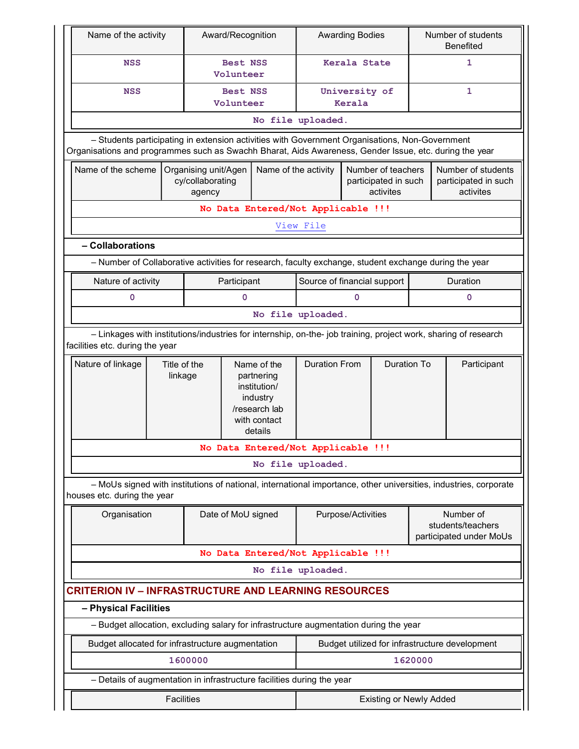| Name of the activity                                        |                                                                                                                                                                                                          | Award/Recognition                                                                                     |                                                                                                   | <b>Awarding Bodies</b>         |                    | Number of students<br>Benefited                         |                                                           |                                                                                                                  |  |
|-------------------------------------------------------------|----------------------------------------------------------------------------------------------------------------------------------------------------------------------------------------------------------|-------------------------------------------------------------------------------------------------------|---------------------------------------------------------------------------------------------------|--------------------------------|--------------------|---------------------------------------------------------|-----------------------------------------------------------|------------------------------------------------------------------------------------------------------------------|--|
| <b>NSS</b>                                                  |                                                                                                                                                                                                          |                                                                                                       | <b>Best NSS</b><br>Volunteer                                                                      |                                | Kerala State       |                                                         | 1                                                         |                                                                                                                  |  |
| <b>NSS</b>                                                  |                                                                                                                                                                                                          | Best NSS<br>Volunteer                                                                                 |                                                                                                   | University of<br>Kerala        |                    |                                                         | 1                                                         |                                                                                                                  |  |
|                                                             |                                                                                                                                                                                                          |                                                                                                       |                                                                                                   | No file uploaded.              |                    |                                                         |                                                           |                                                                                                                  |  |
|                                                             | - Students participating in extension activities with Government Organisations, Non-Government<br>Organisations and programmes such as Swachh Bharat, Aids Awareness, Gender Issue, etc. during the year |                                                                                                       |                                                                                                   |                                |                    |                                                         |                                                           |                                                                                                                  |  |
| Name of the scheme                                          |                                                                                                                                                                                                          | Organising unit/Agen<br>cy/collaborating<br>agency                                                    | Name of the activity                                                                              |                                |                    | Number of teachers<br>participated in such<br>activites |                                                           | Number of students<br>participated in such<br>activites                                                          |  |
|                                                             |                                                                                                                                                                                                          | No Data Entered/Not Applicable !!!                                                                    |                                                                                                   |                                |                    |                                                         |                                                           |                                                                                                                  |  |
|                                                             |                                                                                                                                                                                                          |                                                                                                       |                                                                                                   | View File                      |                    |                                                         |                                                           |                                                                                                                  |  |
| - Collaborations                                            |                                                                                                                                                                                                          |                                                                                                       |                                                                                                   |                                |                    |                                                         |                                                           |                                                                                                                  |  |
|                                                             |                                                                                                                                                                                                          | - Number of Collaborative activities for research, faculty exchange, student exchange during the year |                                                                                                   |                                |                    |                                                         |                                                           |                                                                                                                  |  |
| Nature of activity                                          |                                                                                                                                                                                                          | Participant                                                                                           |                                                                                                   | Source of financial support    |                    |                                                         |                                                           | Duration                                                                                                         |  |
| 0                                                           |                                                                                                                                                                                                          | 0                                                                                                     |                                                                                                   |                                | $\mathbf 0$        |                                                         |                                                           | 0                                                                                                                |  |
|                                                             |                                                                                                                                                                                                          |                                                                                                       |                                                                                                   | No file uploaded.              |                    |                                                         |                                                           |                                                                                                                  |  |
| facilities etc. during the year                             |                                                                                                                                                                                                          |                                                                                                       |                                                                                                   |                                |                    |                                                         |                                                           | - Linkages with institutions/industries for internship, on-the- job training, project work, sharing of research  |  |
| Nature of linkage                                           | Title of the<br>linkage                                                                                                                                                                                  |                                                                                                       | Name of the<br>partnering<br>institution/<br>industry<br>/research lab<br>with contact<br>details | <b>Duration From</b>           |                    | <b>Duration To</b>                                      |                                                           | Participant                                                                                                      |  |
|                                                             |                                                                                                                                                                                                          | No Data Entered/Not Applicable !!!                                                                    |                                                                                                   |                                |                    |                                                         |                                                           |                                                                                                                  |  |
|                                                             |                                                                                                                                                                                                          |                                                                                                       |                                                                                                   | No file uploaded.              |                    |                                                         |                                                           |                                                                                                                  |  |
| houses etc. during the year                                 |                                                                                                                                                                                                          |                                                                                                       |                                                                                                   |                                |                    |                                                         |                                                           | - MoUs signed with institutions of national, international importance, other universities, industries, corporate |  |
| Organisation                                                |                                                                                                                                                                                                          | Date of MoU signed                                                                                    |                                                                                                   |                                | Purpose/Activities |                                                         | Number of<br>students/teachers<br>participated under MoUs |                                                                                                                  |  |
|                                                             |                                                                                                                                                                                                          | No Data Entered/Not Applicable !!!                                                                    |                                                                                                   |                                |                    |                                                         |                                                           |                                                                                                                  |  |
|                                                             |                                                                                                                                                                                                          |                                                                                                       |                                                                                                   | No file uploaded.              |                    |                                                         |                                                           |                                                                                                                  |  |
| <b>CRITERION IV - INFRASTRUCTURE AND LEARNING RESOURCES</b> |                                                                                                                                                                                                          |                                                                                                       |                                                                                                   |                                |                    |                                                         |                                                           |                                                                                                                  |  |
| - Physical Facilities                                       |                                                                                                                                                                                                          |                                                                                                       |                                                                                                   |                                |                    |                                                         |                                                           |                                                                                                                  |  |
|                                                             |                                                                                                                                                                                                          | - Budget allocation, excluding salary for infrastructure augmentation during the year                 |                                                                                                   |                                |                    |                                                         |                                                           |                                                                                                                  |  |
|                                                             |                                                                                                                                                                                                          | Budget allocated for infrastructure augmentation                                                      |                                                                                                   |                                |                    |                                                         |                                                           | Budget utilized for infrastructure development                                                                   |  |
|                                                             |                                                                                                                                                                                                          | 1600000                                                                                               |                                                                                                   |                                |                    |                                                         | 1620000                                                   |                                                                                                                  |  |
|                                                             |                                                                                                                                                                                                          | - Details of augmentation in infrastructure facilities during the year                                |                                                                                                   |                                |                    |                                                         |                                                           |                                                                                                                  |  |
|                                                             | <b>Facilities</b>                                                                                                                                                                                        |                                                                                                       |                                                                                                   | <b>Existing or Newly Added</b> |                    |                                                         |                                                           |                                                                                                                  |  |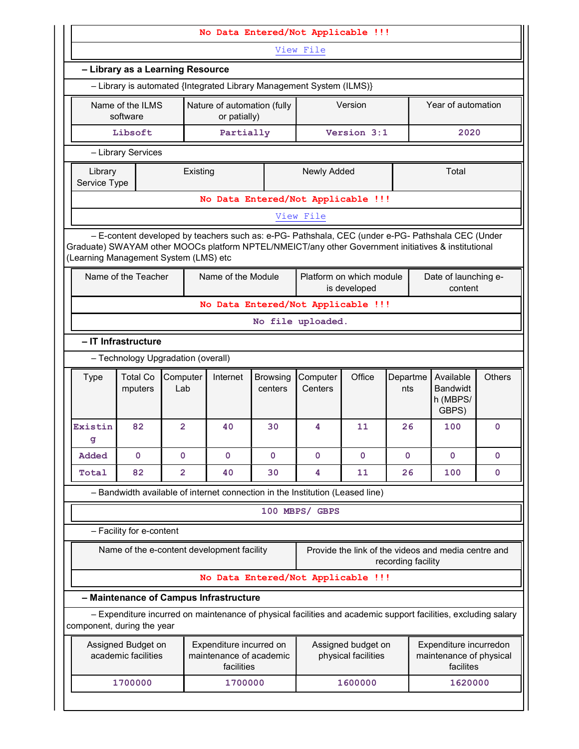|                                                                    | No Data Entered/Not Applicable !!!        |                                            |                                                                  |                            |                                                                                                                                                                                                          |                                           |                    |                                                                |               |  |
|--------------------------------------------------------------------|-------------------------------------------|--------------------------------------------|------------------------------------------------------------------|----------------------------|----------------------------------------------------------------------------------------------------------------------------------------------------------------------------------------------------------|-------------------------------------------|--------------------|----------------------------------------------------------------|---------------|--|
| View File                                                          |                                           |                                            |                                                                  |                            |                                                                                                                                                                                                          |                                           |                    |                                                                |               |  |
|                                                                    |                                           | - Library as a Learning Resource           |                                                                  |                            |                                                                                                                                                                                                          |                                           |                    |                                                                |               |  |
|                                                                    |                                           |                                            |                                                                  |                            | - Library is automated {Integrated Library Management System (ILMS)}                                                                                                                                     |                                           |                    |                                                                |               |  |
|                                                                    | Name of the ILMS<br>software              |                                            | Nature of automation (fully<br>or patially)                      |                            |                                                                                                                                                                                                          | Version                                   |                    | Year of automation                                             |               |  |
|                                                                    | Libsoft                                   |                                            | Partially                                                        |                            |                                                                                                                                                                                                          | Version 3:1                               |                    | 2020                                                           |               |  |
|                                                                    | - Library Services                        |                                            |                                                                  |                            |                                                                                                                                                                                                          |                                           |                    |                                                                |               |  |
| <b>Newly Added</b><br>Total<br>Existing<br>Library<br>Service Type |                                           |                                            |                                                                  |                            |                                                                                                                                                                                                          |                                           |                    |                                                                |               |  |
| No Data Entered/Not Applicable !!!                                 |                                           |                                            |                                                                  |                            |                                                                                                                                                                                                          |                                           |                    |                                                                |               |  |
|                                                                    |                                           |                                            |                                                                  |                            | View File                                                                                                                                                                                                |                                           |                    |                                                                |               |  |
|                                                                    |                                           | (Learning Management System (LMS) etc      |                                                                  |                            | - E-content developed by teachers such as: e-PG- Pathshala, CEC (under e-PG- Pathshala CEC (Under<br>Graduate) SWAYAM other MOOCs platform NPTEL/NMEICT/any other Government initiatives & institutional |                                           |                    |                                                                |               |  |
|                                                                    | Name of the Teacher                       |                                            | Name of the Module                                               |                            |                                                                                                                                                                                                          | Platform on which module<br>is developed  |                    | Date of launching e-<br>content                                |               |  |
|                                                                    |                                           |                                            |                                                                  |                            | No Data Entered/Not Applicable !!!                                                                                                                                                                       |                                           |                    |                                                                |               |  |
|                                                                    |                                           |                                            |                                                                  |                            | No file uploaded.                                                                                                                                                                                        |                                           |                    |                                                                |               |  |
|                                                                    | - IT Infrastructure                       |                                            |                                                                  |                            |                                                                                                                                                                                                          |                                           |                    |                                                                |               |  |
|                                                                    |                                           | - Technology Upgradation (overall)         |                                                                  |                            |                                                                                                                                                                                                          |                                           |                    |                                                                |               |  |
| <b>Type</b>                                                        | <b>Total Co</b><br>mputers                | Computer<br>Lab                            | Internet                                                         | <b>Browsing</b><br>centers | Computer<br>Centers                                                                                                                                                                                      | Office                                    | Departme<br>nts    | Available<br><b>Bandwidt</b><br>h (MBPS/<br>GBPS)              | <b>Others</b> |  |
| Existin<br>g                                                       | 82                                        | $\overline{2}$                             | 40                                                               | 30                         | 4                                                                                                                                                                                                        | 11                                        | 26                 | 100                                                            | $\mathbf 0$   |  |
| Added                                                              | 0                                         | $\mathbf 0$                                | 0                                                                | 0                          | 0                                                                                                                                                                                                        | $\mathbf 0$                               | 0                  | 0                                                              | 0             |  |
| Total                                                              | 82                                        | $\overline{2}$                             | 40                                                               | 30                         | 4                                                                                                                                                                                                        | 11                                        | 26                 | 100                                                            | 0             |  |
|                                                                    |                                           |                                            |                                                                  |                            | - Bandwidth available of internet connection in the Institution (Leased line)                                                                                                                            |                                           |                    |                                                                |               |  |
|                                                                    |                                           |                                            |                                                                  |                            | 100 MBPS/ GBPS                                                                                                                                                                                           |                                           |                    |                                                                |               |  |
|                                                                    | - Facility for e-content                  |                                            |                                                                  |                            |                                                                                                                                                                                                          |                                           |                    |                                                                |               |  |
|                                                                    |                                           | Name of the e-content development facility |                                                                  |                            |                                                                                                                                                                                                          |                                           | recording facility | Provide the link of the videos and media centre and            |               |  |
|                                                                    |                                           |                                            |                                                                  |                            | No Data Entered/Not Applicable !!!                                                                                                                                                                       |                                           |                    |                                                                |               |  |
|                                                                    |                                           | - Maintenance of Campus Infrastructure     |                                                                  |                            |                                                                                                                                                                                                          |                                           |                    |                                                                |               |  |
|                                                                    |                                           |                                            |                                                                  |                            | - Expenditure incurred on maintenance of physical facilities and academic support facilities, excluding salary                                                                                           |                                           |                    |                                                                |               |  |
|                                                                    | component, during the year                |                                            |                                                                  |                            |                                                                                                                                                                                                          |                                           |                    |                                                                |               |  |
|                                                                    | Assigned Budget on<br>academic facilities |                                            | Expenditure incurred on<br>maintenance of academic<br>facilities |                            |                                                                                                                                                                                                          | Assigned budget on<br>physical facilities |                    | Expenditure incurredon<br>maintenance of physical<br>facilites |               |  |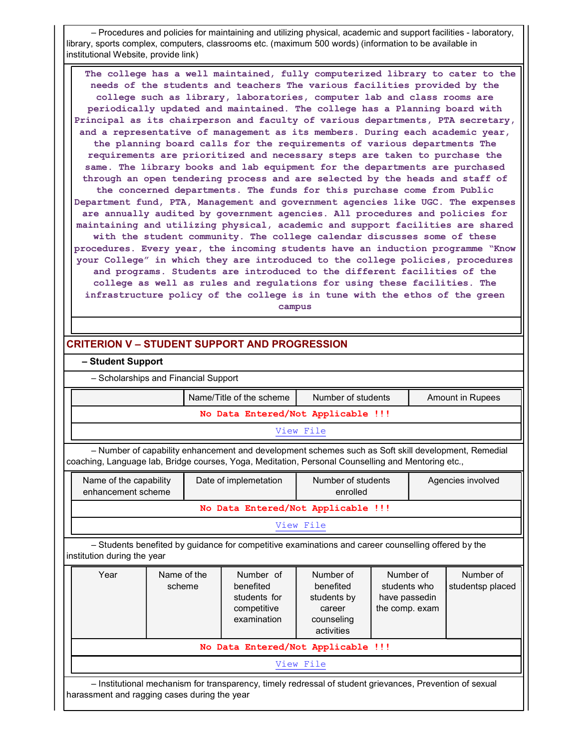– Procedures and policies for maintaining and utilizing physical, academic and support facilities - laboratory, library, sports complex, computers, classrooms etc. (maximum 500 words) (information to be available in institutional Website, provide link)

The college has a well maintained, fully computerized library to cater to the needs of the students and teachers The various facilities provided by the college such as library, laboratories, computer lab and class rooms are periodically updated and maintained. The college has a Planning board with Principal as its chairperson and faculty of various departments, PTA secretary, and a representative of management as its members. During each academic year, the planning board calls for the requirements of various departments The requirements are prioritized and necessary steps are taken to purchase the same. The library books and lab equipment for the departments are purchased through an open tendering process and are selected by the heads and staff of the concerned departments. The funds for this purchase come from Public Department fund, PTA, Management and government agencies like UGC. The expenses are annually audited by government agencies. All procedures and policies for maintaining and utilizing physical, academic and support facilities are shared with the student community. The college calendar discusses some of these procedures. Every year, the incoming students have an induction programme "Know your College" in which they are introduced to the college policies, procedures and programs. Students are introduced to the different facilities of the college as well as rules and regulations for using these facilities. The infrastructure policy of the college is in tune with the ethos of the green campus

# CRITERION V – STUDENT SUPPORT AND PROGRESSION

### – Student Support

– Scholarships and Financial Support

|                                                                                                                                                                                                                                                                                       |  |  | Name/Title of the scheme                                                                                 | Number of students |  |  | <b>Amount in Rupees</b> |  |  |  |
|---------------------------------------------------------------------------------------------------------------------------------------------------------------------------------------------------------------------------------------------------------------------------------------|--|--|----------------------------------------------------------------------------------------------------------|--------------------|--|--|-------------------------|--|--|--|
| No Data Entered/Not Applicable !!!                                                                                                                                                                                                                                                    |  |  |                                                                                                          |                    |  |  |                         |  |  |  |
| View File                                                                                                                                                                                                                                                                             |  |  |                                                                                                          |                    |  |  |                         |  |  |  |
| - Number of capability enhancement and development schemes such as Soft skill development, Remedial<br>coaching, Language lab, Bridge courses, Yoga, Meditation, Personal Counselling and Mentoring etc.,                                                                             |  |  |                                                                                                          |                    |  |  |                         |  |  |  |
| Name of the capability<br>Date of implemetation<br>Number of students<br>Agencies involved<br>enhancement scheme<br>enrolled                                                                                                                                                          |  |  |                                                                                                          |                    |  |  |                         |  |  |  |
|                                                                                                                                                                                                                                                                                       |  |  | No Data Entered/Not Applicable !!!                                                                       |                    |  |  |                         |  |  |  |
|                                                                                                                                                                                                                                                                                       |  |  |                                                                                                          | View File          |  |  |                         |  |  |  |
| institution during the year                                                                                                                                                                                                                                                           |  |  | - Students benefited by guidance for competitive examinations and career counselling offered by the      |                    |  |  |                         |  |  |  |
| Number of<br>Number of<br>Year<br>Name of the<br>Number of<br>Number of<br>benefited<br>benefited<br>scheme<br>students who<br>studentsp placed<br>students for<br>students by<br>have passedin<br>competitive<br>the comp. exam<br>career<br>examination<br>counseling<br>activities |  |  |                                                                                                          |                    |  |  |                         |  |  |  |
|                                                                                                                                                                                                                                                                                       |  |  | No Data Entered/Not Applicable !!!                                                                       |                    |  |  |                         |  |  |  |
|                                                                                                                                                                                                                                                                                       |  |  |                                                                                                          | View File          |  |  |                         |  |  |  |
| harassment and ragging cases during the year                                                                                                                                                                                                                                          |  |  | - Institutional mechanism for transparency, timely redressal of student grievances, Prevention of sexual |                    |  |  |                         |  |  |  |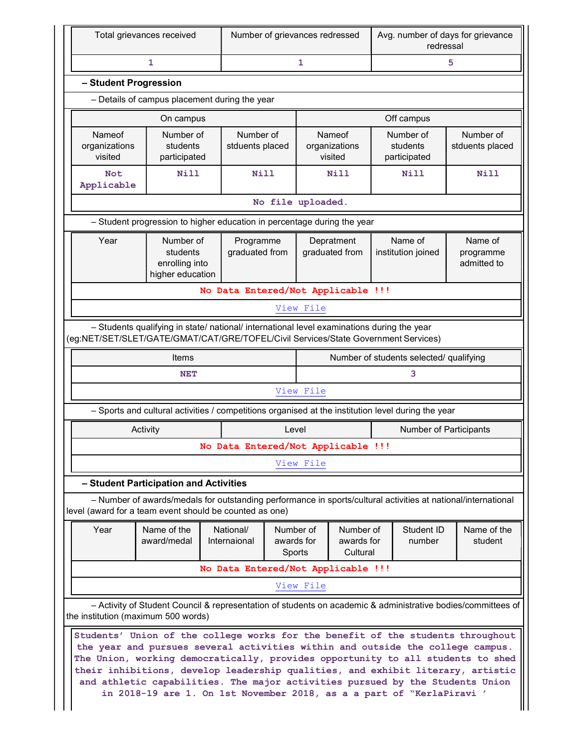| Total grievances received                                                                            |                                                                                                                                                                                                                                                                                                                                                                                                                                                                                                                                          |                                    | Number of grievances redressed |           |                                    | Avg. number of days for grievance<br>redressal |                                         |                                     |  |  |  |
|------------------------------------------------------------------------------------------------------|------------------------------------------------------------------------------------------------------------------------------------------------------------------------------------------------------------------------------------------------------------------------------------------------------------------------------------------------------------------------------------------------------------------------------------------------------------------------------------------------------------------------------------------|------------------------------------|--------------------------------|-----------|------------------------------------|------------------------------------------------|-----------------------------------------|-------------------------------------|--|--|--|
|                                                                                                      | $\mathbf{1}$                                                                                                                                                                                                                                                                                                                                                                                                                                                                                                                             | 1                                  |                                |           | 5                                  |                                                |                                         |                                     |  |  |  |
| - Student Progression                                                                                |                                                                                                                                                                                                                                                                                                                                                                                                                                                                                                                                          |                                    |                                |           |                                    |                                                |                                         |                                     |  |  |  |
| - Details of campus placement during the year                                                        |                                                                                                                                                                                                                                                                                                                                                                                                                                                                                                                                          |                                    |                                |           |                                    |                                                |                                         |                                     |  |  |  |
| Off campus<br>On campus                                                                              |                                                                                                                                                                                                                                                                                                                                                                                                                                                                                                                                          |                                    |                                |           |                                    |                                                |                                         |                                     |  |  |  |
| Nameof<br>organizations<br>visited                                                                   | Number of<br>students<br>participated                                                                                                                                                                                                                                                                                                                                                                                                                                                                                                    | Number of<br>stduents placed       |                                |           | Nameof<br>organizations<br>visited |                                                | Number of<br>students<br>participated   | Number of<br>stduents placed        |  |  |  |
| Not<br>Applicable                                                                                    | Nill                                                                                                                                                                                                                                                                                                                                                                                                                                                                                                                                     | <b>Nill</b>                        |                                |           | Nill                               |                                                | Nill                                    | <b>Nill</b>                         |  |  |  |
| No file uploaded.                                                                                    |                                                                                                                                                                                                                                                                                                                                                                                                                                                                                                                                          |                                    |                                |           |                                    |                                                |                                         |                                     |  |  |  |
| - Student progression to higher education in percentage during the year                              |                                                                                                                                                                                                                                                                                                                                                                                                                                                                                                                                          |                                    |                                |           |                                    |                                                |                                         |                                     |  |  |  |
| Year                                                                                                 | Number of<br>students<br>enrolling into<br>higher education                                                                                                                                                                                                                                                                                                                                                                                                                                                                              | Programme<br>graduated from        |                                |           | Depratment<br>graduated from       |                                                | Name of<br>institution joined           | Name of<br>programme<br>admitted to |  |  |  |
|                                                                                                      |                                                                                                                                                                                                                                                                                                                                                                                                                                                                                                                                          | No Data Entered/Not Applicable !!! |                                |           |                                    |                                                |                                         |                                     |  |  |  |
|                                                                                                      |                                                                                                                                                                                                                                                                                                                                                                                                                                                                                                                                          |                                    |                                | View File |                                    |                                                |                                         |                                     |  |  |  |
|                                                                                                      | - Students qualifying in state/ national/ international level examinations during the year<br>(eg:NET/SET/SLET/GATE/GMAT/CAT/GRE/TOFEL/Civil Services/State Government Services)                                                                                                                                                                                                                                                                                                                                                         |                                    |                                |           |                                    |                                                |                                         |                                     |  |  |  |
|                                                                                                      | Items                                                                                                                                                                                                                                                                                                                                                                                                                                                                                                                                    |                                    |                                |           |                                    |                                                | Number of students selected/ qualifying |                                     |  |  |  |
|                                                                                                      | <b>NET</b>                                                                                                                                                                                                                                                                                                                                                                                                                                                                                                                               |                                    |                                |           |                                    |                                                | 3                                       |                                     |  |  |  |
|                                                                                                      |                                                                                                                                                                                                                                                                                                                                                                                                                                                                                                                                          |                                    |                                | View File |                                    |                                                |                                         |                                     |  |  |  |
|                                                                                                      | - Sports and cultural activities / competitions organised at the institution level during the year                                                                                                                                                                                                                                                                                                                                                                                                                                       |                                    |                                |           |                                    |                                                |                                         |                                     |  |  |  |
|                                                                                                      | Activity                                                                                                                                                                                                                                                                                                                                                                                                                                                                                                                                 |                                    | Level                          |           |                                    |                                                | Number of Participants                  |                                     |  |  |  |
|                                                                                                      |                                                                                                                                                                                                                                                                                                                                                                                                                                                                                                                                          | No Data Entered/Not Applicable !!! |                                |           |                                    |                                                |                                         |                                     |  |  |  |
|                                                                                                      |                                                                                                                                                                                                                                                                                                                                                                                                                                                                                                                                          |                                    |                                | View File |                                    |                                                |                                         |                                     |  |  |  |
|                                                                                                      | - Student Participation and Activities                                                                                                                                                                                                                                                                                                                                                                                                                                                                                                   |                                    |                                |           |                                    |                                                |                                         |                                     |  |  |  |
|                                                                                                      | - Number of awards/medals for outstanding performance in sports/cultural activities at national/international<br>level (award for a team event should be counted as one)                                                                                                                                                                                                                                                                                                                                                                 |                                    |                                |           |                                    |                                                |                                         |                                     |  |  |  |
| Name of the<br>National/<br>Number of<br>Year<br>award/medal<br>Internaional<br>awards for<br>Sports |                                                                                                                                                                                                                                                                                                                                                                                                                                                                                                                                          |                                    |                                |           |                                    | Number of<br>awards for<br>Cultural            | Student ID<br>number                    | Name of the<br>student              |  |  |  |
|                                                                                                      | No Data Entered/Not Applicable !!!                                                                                                                                                                                                                                                                                                                                                                                                                                                                                                       |                                    |                                |           |                                    |                                                |                                         |                                     |  |  |  |
|                                                                                                      |                                                                                                                                                                                                                                                                                                                                                                                                                                                                                                                                          |                                    |                                | View File |                                    |                                                |                                         |                                     |  |  |  |
|                                                                                                      | - Activity of Student Council & representation of students on academic & administrative bodies/committees of                                                                                                                                                                                                                                                                                                                                                                                                                             |                                    |                                |           |                                    |                                                |                                         |                                     |  |  |  |
|                                                                                                      | the institution (maximum 500 words)<br>Students' Union of the college works for the benefit of the students throughout<br>the year and pursues several activities within and outside the college campus.<br>The Union, working democratically, provides opportunity to all students to shed<br>their inhibitions, develop leadership qualities, and exhibit literary, artistic<br>and athletic capabilities. The major activities pursued by the Students Union<br>in 2018-19 are 1. On 1st November 2018, as a a part of "KerlaPiravi ' |                                    |                                |           |                                    |                                                |                                         |                                     |  |  |  |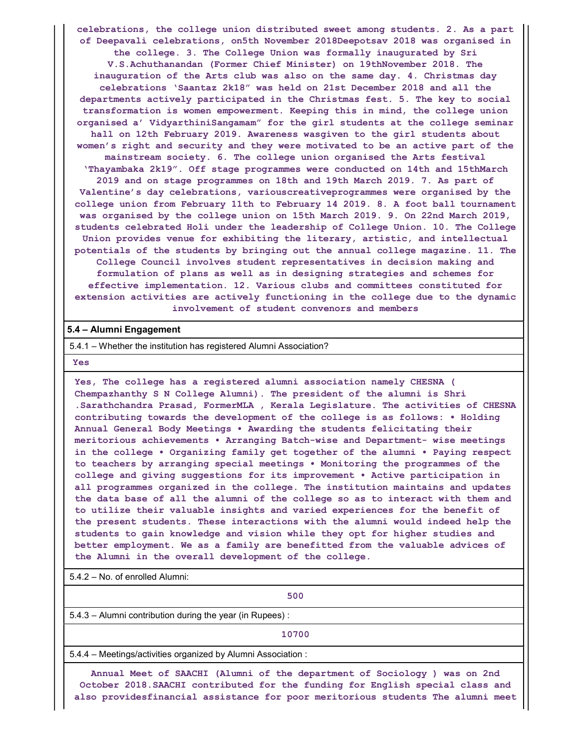celebrations, the college union distributed sweet among students. 2. As a part of Deepavali celebrations, on5th November 2018Deepotsav 2018 was organised in the college. 3. The College Union was formally inaugurated by Sri V.S.Achuthanandan (Former Chief Minister) on 19thNovember 2018. The inauguration of the Arts club was also on the same day. 4. Christmas day celebrations 'Saantaz 2k18" was held on 21st December 2018 and all the departments actively participated in the Christmas fest. 5. The key to social transformation is women empowerment. Keeping this in mind, the college union organised a' VidyarthiniSangamam" for the girl students at the college seminar hall on 12th February 2019. Awareness wasgiven to the girl students about women's right and security and they were motivated to be an active part of the mainstream society. 6. The college union organised the Arts festival 'Thayambaka 2k19". Off stage programmes were conducted on 14th and 15thMarch 2019 and on stage programmes on 18th and 19th March 2019. 7. As part of Valentine's day celebrations, variouscreativeprogrammes were organised by the college union from February 11th to February 14 2019. 8. A foot ball tournament was organised by the college union on 15th March 2019. 9. On 22nd March 2019, students celebrated Holi under the leadership of College Union. 10. The College Union provides venue for exhibiting the literary, artistic, and intellectual potentials of the students by bringing out the annual college magazine. 11. The College Council involves student representatives in decision making and formulation of plans as well as in designing strategies and schemes for effective implementation. 12. Various clubs and committees constituted for extension activities are actively functioning in the college due to the dynamic involvement of student convenors and members

### 5.4 – Alumni Engagement

5.4.1 – Whether the institution has registered Alumni Association?

Yes

Yes, The college has a registered alumni association namely CHESNA ( Chempazhanthy S N College Alumni). The president of the alumni is Shri .Sarathchandra Prasad, FormerMLA , Kerala Legislature. The activities of CHESNA contributing towards the development of the college is as follows: • Holding Annual General Body Meetings • Awarding the students felicitating their meritorious achievements • Arranging Batch-wise and Department- wise meetings in the college • Organizing family get together of the alumni • Paying respect to teachers by arranging special meetings • Monitoring the programmes of the college and giving suggestions for its improvement • Active participation in all programmes organized in the college. The institution maintains and updates the data base of all the alumni of the college so as to interact with them and to utilize their valuable insights and varied experiences for the benefit of the present students. These interactions with the alumni would indeed help the students to gain knowledge and vision while they opt for higher studies and better employment. We as a family are benefitted from the valuable advices of the Alumni in the overall development of the college.

5.4.2 – No. of enrolled Alumni:

500

5.4.3 – Alumni contribution during the year (in Rupees) :

10700

5.4.4 – Meetings/activities organized by Alumni Association :

Annual Meet of SAACHI (Alumni of the department of Sociology ) was on 2nd October 2018.SAACHI contributed for the funding for English special class and also providesfinancial assistance for poor meritorious students The alumni meet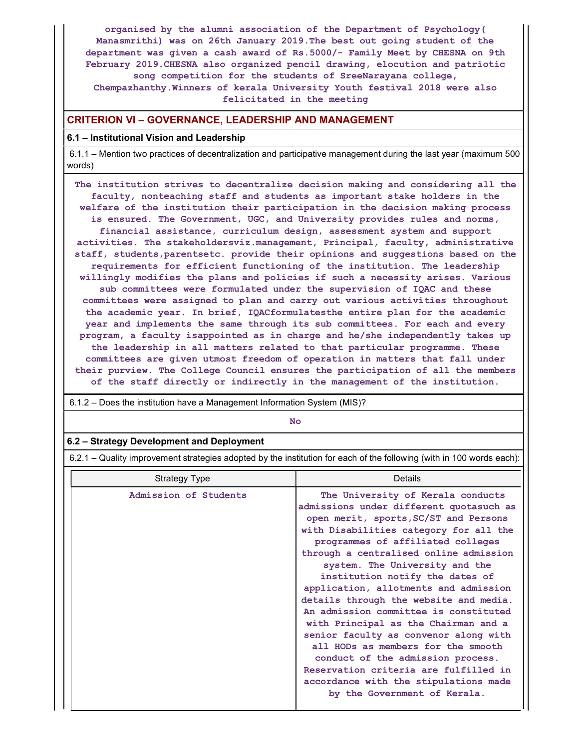organised by the alumni association of the Department of Psychology( Manasmrithi) was on 26th January 2019.The best out going student of the department was given a cash award of Rs.5000/- Family Meet by CHESNA on 9th February 2019.CHESNA also organized pencil drawing, elocution and patriotic song competition for the students of SreeNarayana college, Chempazhanthy.Winners of kerala University Youth festival 2018 were also felicitated in the meeting

## CRITERION VI – GOVERNANCE, LEADERSHIP AND MANAGEMENT

### 6.1 – Institutional Vision and Leadership

6.1.1 – Mention two practices of decentralization and participative management during the last year (maximum 500 words)

The institution strives to decentralize decision making and considering all the faculty, nonteaching staff and students as important stake holders in the welfare of the institution their participation in the decision making process is ensured. The Government, UGC, and University provides rules and norms, financial assistance, curriculum design, assessment system and support activities. The stakeholdersviz.management, Principal, faculty, administrative staff, students,parentsetc. provide their opinions and suggestions based on the requirements for efficient functioning of the institution. The leadership willingly modifies the plans and policies if such a necessity arises. Various sub committees were formulated under the supervision of IQAC and these committees were assigned to plan and carry out various activities throughout the academic year. In brief, IQACformulatesthe entire plan for the academic year and implements the same through its sub committees. For each and every program, a faculty isappointed as in charge and he/she independently takes up the leadership in all matters related to that particular programme. These committees are given utmost freedom of operation in matters that fall under their purview. The College Council ensures the participation of all the members of the staff directly or indirectly in the management of the institution.

6.1.2 – Does the institution have a Management Information System (MIS)?

No

#### 6.2 – Strategy Development and Deployment

6.2.1 – Quality improvement strategies adopted by the institution for each of the following (with in 100 words each):

| Strategy Type         | Details                                                                                                                                                                                                                                                                                                                                                                                                                                                                                                                                                                                                                                                                                                                       |
|-----------------------|-------------------------------------------------------------------------------------------------------------------------------------------------------------------------------------------------------------------------------------------------------------------------------------------------------------------------------------------------------------------------------------------------------------------------------------------------------------------------------------------------------------------------------------------------------------------------------------------------------------------------------------------------------------------------------------------------------------------------------|
| Admission of Students | The University of Kerala conducts<br>admissions under different quotasuch as<br>open merit, sports, SC/ST and Persons<br>with Disabilities category for all the<br>programmes of affiliated colleges<br>through a centralised online admission<br>system. The University and the<br>institution notify the dates of<br>application, allotments and admission<br>details through the website and media.<br>An admission committee is constituted<br>with Principal as the Chairman and a<br>senior faculty as convenor along with<br>all HODs as members for the smooth<br>conduct of the admission process.<br>Reservation criteria are fulfilled in<br>accordance with the stipulations made<br>by the Government of Kerala. |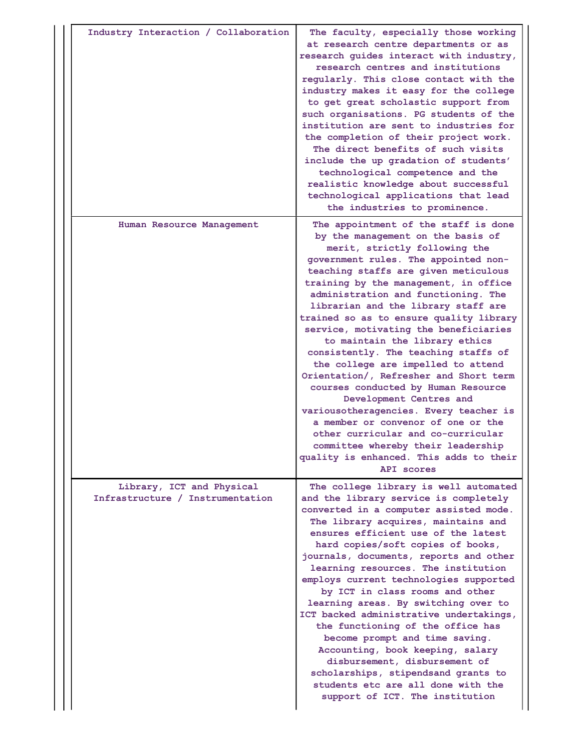| Industry Interaction / Collaboration                          | The faculty, especially those working<br>at research centre departments or as<br>research guides interact with industry,<br>research centres and institutions<br>regularly. This close contact with the<br>industry makes it easy for the college<br>to get great scholastic support from<br>such organisations. PG students of the<br>institution are sent to industries for<br>the completion of their project work.<br>The direct benefits of such visits<br>include the up gradation of students'<br>technological competence and the<br>realistic knowledge about successful<br>technological applications that lead<br>the industries to prominence.                                                                                                                                                                                             |
|---------------------------------------------------------------|--------------------------------------------------------------------------------------------------------------------------------------------------------------------------------------------------------------------------------------------------------------------------------------------------------------------------------------------------------------------------------------------------------------------------------------------------------------------------------------------------------------------------------------------------------------------------------------------------------------------------------------------------------------------------------------------------------------------------------------------------------------------------------------------------------------------------------------------------------|
| Human Resource Management                                     | The appointment of the staff is done<br>by the management on the basis of<br>merit, strictly following the<br>government rules. The appointed non-<br>teaching staffs are given meticulous<br>training by the management, in office<br>administration and functioning. The<br>librarian and the library staff are<br>trained so as to ensure quality library<br>service, motivating the beneficiaries<br>to maintain the library ethics<br>consistently. The teaching staffs of<br>the college are impelled to attend<br>Orientation/, Refresher and Short term<br>courses conducted by Human Resource<br>Development Centres and<br>variousotheragencies. Every teacher is<br>a member or convenor of one or the<br>other curricular and co-curricular<br>committee whereby their leadership<br>quality is enhanced. This adds to their<br>API scores |
| Library, ICT and Physical<br>Infrastructure / Instrumentation | The college library is well automated<br>and the library service is completely<br>converted in a computer assisted mode.<br>The library acquires, maintains and<br>ensures efficient use of the latest<br>hard copies/soft copies of books,<br>journals, documents, reports and other<br>learning resources. The institution<br>employs current technologies supported<br>by ICT in class rooms and other<br>learning areas. By switching over to<br>ICT backed administrative undertakings,<br>the functioning of the office has<br>become prompt and time saving.<br>Accounting, book keeping, salary<br>disbursement, disbursement of<br>scholarships, stipendsand grants to<br>students etc are all done with the<br>support of ICT. The institution                                                                                               |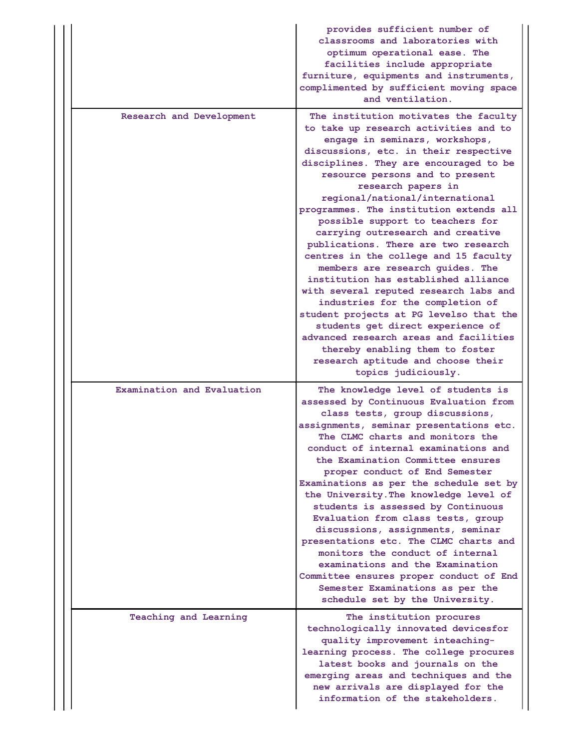|                            | provides sufficient number of<br>classrooms and laboratories with<br>optimum operational ease. The<br>facilities include appropriate<br>furniture, equipments and instruments,<br>complimented by sufficient moving space<br>and ventilation.                                                                                                                                                                                                                                                                                                                                                                                                                                                                                                                                                                                                                                            |
|----------------------------|------------------------------------------------------------------------------------------------------------------------------------------------------------------------------------------------------------------------------------------------------------------------------------------------------------------------------------------------------------------------------------------------------------------------------------------------------------------------------------------------------------------------------------------------------------------------------------------------------------------------------------------------------------------------------------------------------------------------------------------------------------------------------------------------------------------------------------------------------------------------------------------|
| Research and Development   | The institution motivates the faculty<br>to take up research activities and to<br>engage in seminars, workshops,<br>discussions, etc. in their respective<br>disciplines. They are encouraged to be<br>resource persons and to present<br>research papers in<br>regional/national/international<br>programmes. The institution extends all<br>possible support to teachers for<br>carrying outresearch and creative<br>publications. There are two research<br>centres in the college and 15 faculty<br>members are research quides. The<br>institution has established alliance<br>with several reputed research labs and<br>industries for the completion of<br>student projects at PG levelso that the<br>students get direct experience of<br>advanced research areas and facilities<br>thereby enabling them to foster<br>research aptitude and choose their<br>topics judiciously. |
| Examination and Evaluation | The knowledge level of students is<br>assessed by Continuous Evaluation from<br>class tests, group discussions,<br>assignments, seminar presentations etc.<br>The CLMC charts and monitors the<br>conduct of internal examinations and<br>the Examination Committee ensures<br>proper conduct of End Semester<br>Examinations as per the schedule set by<br>the University. The knowledge level of<br>students is assessed by Continuous<br>Evaluation from class tests, group<br>discussions, assignments, seminar<br>presentations etc. The CLMC charts and<br>monitors the conduct of internal<br>examinations and the Examination<br>Committee ensures proper conduct of End<br>Semester Examinations as per the<br>schedule set by the University.                                                                                                                                  |
| Teaching and Learning      | The institution procures<br>technologically innovated devicesfor<br>quality improvement inteaching-<br>learning process. The college procures<br>latest books and journals on the<br>emerging areas and techniques and the<br>new arrivals are displayed for the<br>information of the stakeholders.                                                                                                                                                                                                                                                                                                                                                                                                                                                                                                                                                                                     |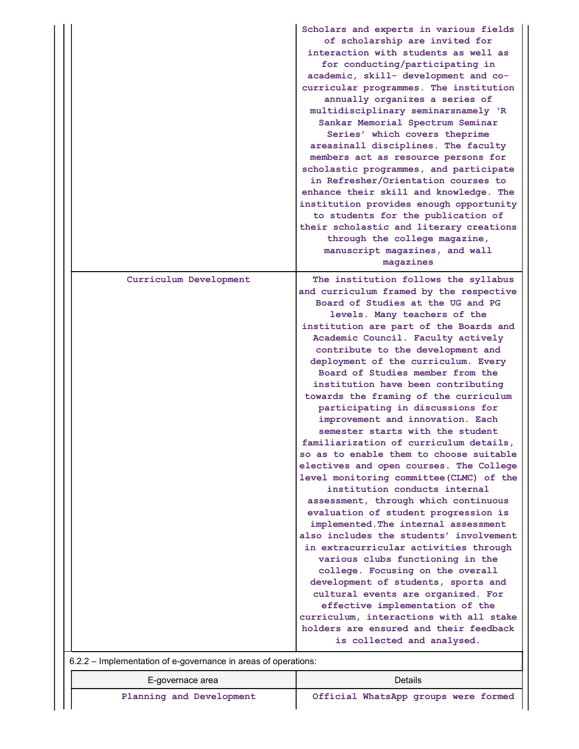| Curriculum Development<br>The institution follows the syllabus<br>Board of Studies at the UG and PG<br>levels. Many teachers of the<br>Academic Council. Faculty actively<br>contribute to the development and<br>deployment of the curriculum. Every<br>Board of Studies member from the<br>institution have been contributing<br>towards the framing of the curriculum<br>participating in discussions for<br>improvement and innovation. Each<br>semester starts with the student<br>familiarization of curriculum details,<br>institution conducts internal<br>assessment, through which continuous<br>evaluation of student progression is<br>implemented. The internal assessment<br>in extracurricular activities through<br>various clubs functioning in the<br>college. Focusing on the overall<br>development of students, sports and<br>cultural events are organized. For<br>effective implementation of the |  | Scholars and experts in various fields<br>of scholarship are invited for<br>interaction with students as well as<br>for conducting/participating in<br>academic, skill- development and co-<br>curricular programmes. The institution<br>annually organizes a series of<br>multidisciplinary seminarsnamely 'R<br>Sankar Memorial Spectrum Seminar<br>Series' which covers theprime<br>areasinall disciplines. The faculty<br>members act as resource persons for<br>scholastic programmes, and participate<br>in Refresher/Orientation courses to<br>enhance their skill and knowledge. The<br>institution provides enough opportunity<br>to students for the publication of<br>their scholastic and literary creations<br>through the college magazine,<br>manuscript magazines, and wall<br>magazines |
|--------------------------------------------------------------------------------------------------------------------------------------------------------------------------------------------------------------------------------------------------------------------------------------------------------------------------------------------------------------------------------------------------------------------------------------------------------------------------------------------------------------------------------------------------------------------------------------------------------------------------------------------------------------------------------------------------------------------------------------------------------------------------------------------------------------------------------------------------------------------------------------------------------------------------|--|----------------------------------------------------------------------------------------------------------------------------------------------------------------------------------------------------------------------------------------------------------------------------------------------------------------------------------------------------------------------------------------------------------------------------------------------------------------------------------------------------------------------------------------------------------------------------------------------------------------------------------------------------------------------------------------------------------------------------------------------------------------------------------------------------------|
|                                                                                                                                                                                                                                                                                                                                                                                                                                                                                                                                                                                                                                                                                                                                                                                                                                                                                                                          |  | and curriculum framed by the respective<br>institution are part of the Boards and<br>so as to enable them to choose suitable<br>electives and open courses. The College<br>level monitoring committee (CLMC) of the<br>also includes the students' involvement<br>curriculum, interactions with all stake<br>holders are ensured and their feedback<br>is collected and analysed.                                                                                                                                                                                                                                                                                                                                                                                                                        |

| example improvements of a governance in areas or operations. |                                      |  |  |  |  |  |  |  |  |  |
|--------------------------------------------------------------|--------------------------------------|--|--|--|--|--|--|--|--|--|
| E-governace area                                             | Details                              |  |  |  |  |  |  |  |  |  |
| Planning and Development                                     | Official WhatsApp groups were formed |  |  |  |  |  |  |  |  |  |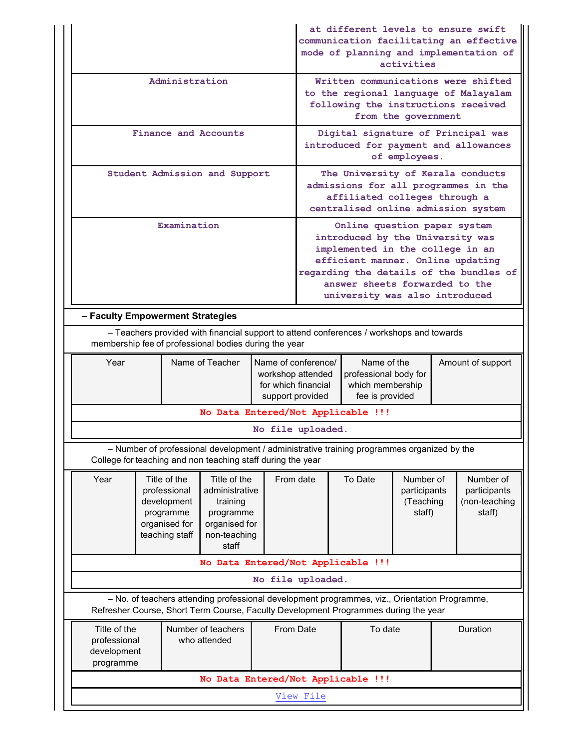|                                                                                                                                                                                                          |  |             |                                                             | at different levels to ensure swift | activities                                                                                                                                                                                                                                               |                                                                                                                                                                                      | communication facilitating an effective<br>mode of planning and implementation of |                                                      |                                                                              |
|----------------------------------------------------------------------------------------------------------------------------------------------------------------------------------------------------------|--|-------------|-------------------------------------------------------------|-------------------------------------|----------------------------------------------------------------------------------------------------------------------------------------------------------------------------------------------------------------------------------------------------------|--------------------------------------------------------------------------------------------------------------------------------------------------------------------------------------|-----------------------------------------------------------------------------------|------------------------------------------------------|------------------------------------------------------------------------------|
| Administration                                                                                                                                                                                           |  |             |                                                             |                                     |                                                                                                                                                                                                                                                          | following the instructions received                                                                                                                                                  | from the government                                                               |                                                      | Written communications were shifted<br>to the regional language of Malayalam |
| Finance and Accounts                                                                                                                                                                                     |  |             |                                                             |                                     |                                                                                                                                                                                                                                                          |                                                                                                                                                                                      | of employees.                                                                     |                                                      | Digital signature of Principal was<br>introduced for payment and allowances  |
| Student Admission and Support                                                                                                                                                                            |  |             |                                                             |                                     | The University of Kerala conducts<br>admissions for all programmes in the<br>affiliated colleges through a<br>centralised online admission system                                                                                                        |                                                                                                                                                                                      |                                                                                   |                                                      |                                                                              |
|                                                                                                                                                                                                          |  | Examination |                                                             |                                     | Online question paper system<br>introduced by the University was<br>implemented in the college in an<br>efficient manner. Online updating<br>regarding the details of the bundles of<br>answer sheets forwarded to the<br>university was also introduced |                                                                                                                                                                                      |                                                                                   |                                                      |                                                                              |
| - Faculty Empowerment Strategies                                                                                                                                                                         |  |             |                                                             |                                     |                                                                                                                                                                                                                                                          |                                                                                                                                                                                      |                                                                                   |                                                      |                                                                              |
|                                                                                                                                                                                                          |  |             | membership fee of professional bodies during the year       |                                     |                                                                                                                                                                                                                                                          | - Teachers provided with financial support to attend conferences / workshops and towards                                                                                             |                                                                                   |                                                      |                                                                              |
| Year                                                                                                                                                                                                     |  |             | Name of Teacher                                             |                                     | Name of conference/<br>Name of the<br>Amount of support<br>workshop attended<br>professional body for<br>for which financial<br>which membership<br>fee is provided<br>support provided                                                                  |                                                                                                                                                                                      |                                                                                   |                                                      |                                                                              |
|                                                                                                                                                                                                          |  |             | No Data Entered/Not Applicable !!!                          |                                     |                                                                                                                                                                                                                                                          |                                                                                                                                                                                      |                                                                                   |                                                      |                                                                              |
|                                                                                                                                                                                                          |  |             |                                                             |                                     | No file uploaded.                                                                                                                                                                                                                                        |                                                                                                                                                                                      |                                                                                   |                                                      |                                                                              |
|                                                                                                                                                                                                          |  |             | College for teaching and non teaching staff during the year |                                     |                                                                                                                                                                                                                                                          | - Number of professional development / administrative training programmes organized by the                                                                                           |                                                                                   |                                                      |                                                                              |
| Year<br>Title of the<br>Title of the<br>professional<br>administrative<br>development<br>training<br>programme<br>programme<br>organised for<br>organised for<br>teaching staff<br>non-teaching<br>staff |  |             |                                                             | From date                           | To Date                                                                                                                                                                                                                                                  | Number of<br>participants<br>(Teaching<br>staff)                                                                                                                                     |                                                                                   | Number of<br>participants<br>(non-teaching<br>staff) |                                                                              |
|                                                                                                                                                                                                          |  |             | No Data Entered/Not Applicable !!!                          |                                     |                                                                                                                                                                                                                                                          |                                                                                                                                                                                      |                                                                                   |                                                      |                                                                              |
|                                                                                                                                                                                                          |  |             |                                                             |                                     | No file uploaded.                                                                                                                                                                                                                                        |                                                                                                                                                                                      |                                                                                   |                                                      |                                                                              |
|                                                                                                                                                                                                          |  |             |                                                             |                                     |                                                                                                                                                                                                                                                          | - No. of teachers attending professional development programmes, viz., Orientation Programme,<br>Refresher Course, Short Term Course, Faculty Development Programmes during the year |                                                                                   |                                                      |                                                                              |
| Title of the<br>professional<br>development<br>programme                                                                                                                                                 |  |             | Number of teachers<br>who attended                          |                                     | From Date<br>To date<br>Duration                                                                                                                                                                                                                         |                                                                                                                                                                                      |                                                                                   |                                                      |                                                                              |
|                                                                                                                                                                                                          |  |             | No Data Entered/Not Applicable !!!                          |                                     |                                                                                                                                                                                                                                                          |                                                                                                                                                                                      |                                                                                   |                                                      |                                                                              |
| View File                                                                                                                                                                                                |  |             |                                                             |                                     |                                                                                                                                                                                                                                                          |                                                                                                                                                                                      |                                                                                   |                                                      |                                                                              |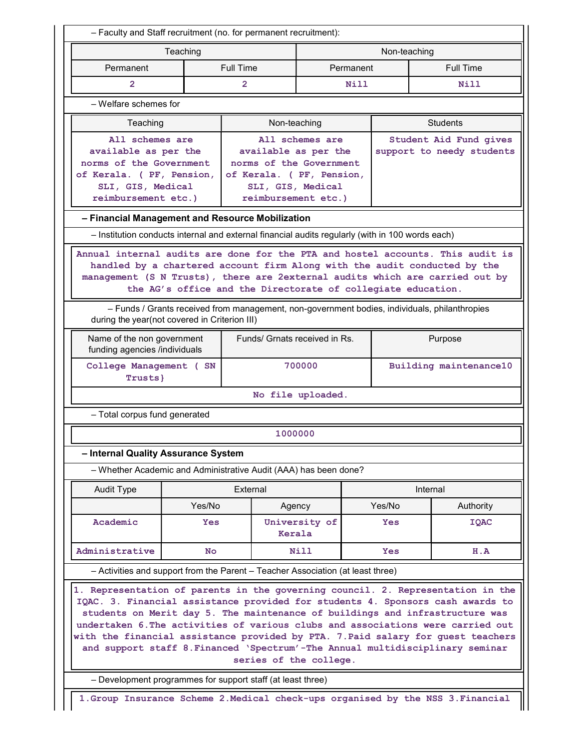| - Faculty and Staff recruitment (no. for permanent recruitment):                                                                                                                                                                                                                                                                                                                                                                                                                                                                    |                                                                                                                                                                                                                                                                                                                                                                                                              |           |                                                      |             |          |                           |  |  |  |  |  |
|-------------------------------------------------------------------------------------------------------------------------------------------------------------------------------------------------------------------------------------------------------------------------------------------------------------------------------------------------------------------------------------------------------------------------------------------------------------------------------------------------------------------------------------|--------------------------------------------------------------------------------------------------------------------------------------------------------------------------------------------------------------------------------------------------------------------------------------------------------------------------------------------------------------------------------------------------------------|-----------|------------------------------------------------------|-------------|----------|---------------------------|--|--|--|--|--|
| Teaching<br>Non-teaching                                                                                                                                                                                                                                                                                                                                                                                                                                                                                                            |                                                                                                                                                                                                                                                                                                                                                                                                              |           |                                                      |             |          |                           |  |  |  |  |  |
| Permanent                                                                                                                                                                                                                                                                                                                                                                                                                                                                                                                           |                                                                                                                                                                                                                                                                                                                                                                                                              | Full Time |                                                      | Permanent   |          | <b>Full Time</b>          |  |  |  |  |  |
| $\overline{2}$                                                                                                                                                                                                                                                                                                                                                                                                                                                                                                                      |                                                                                                                                                                                                                                                                                                                                                                                                              | 2         |                                                      | <b>Nill</b> |          | <b>Nill</b>               |  |  |  |  |  |
| - Welfare schemes for                                                                                                                                                                                                                                                                                                                                                                                                                                                                                                               |                                                                                                                                                                                                                                                                                                                                                                                                              |           |                                                      |             |          |                           |  |  |  |  |  |
| Teaching                                                                                                                                                                                                                                                                                                                                                                                                                                                                                                                            |                                                                                                                                                                                                                                                                                                                                                                                                              |           | Non-teaching                                         |             |          | <b>Students</b>           |  |  |  |  |  |
| All schemes are                                                                                                                                                                                                                                                                                                                                                                                                                                                                                                                     |                                                                                                                                                                                                                                                                                                                                                                                                              |           | All schemes are                                      |             |          | Student Aid Fund gives    |  |  |  |  |  |
| available as per the                                                                                                                                                                                                                                                                                                                                                                                                                                                                                                                |                                                                                                                                                                                                                                                                                                                                                                                                              |           | available as per the                                 |             |          | support to needy students |  |  |  |  |  |
| norms of the Government<br>of Kerala. ( PF, Pension,                                                                                                                                                                                                                                                                                                                                                                                                                                                                                |                                                                                                                                                                                                                                                                                                                                                                                                              |           | norms of the Government<br>of Kerala. ( PF, Pension, |             |          |                           |  |  |  |  |  |
| SLI, GIS, Medical                                                                                                                                                                                                                                                                                                                                                                                                                                                                                                                   |                                                                                                                                                                                                                                                                                                                                                                                                              |           | SLI, GIS, Medical                                    |             |          |                           |  |  |  |  |  |
| reimbursement etc.)                                                                                                                                                                                                                                                                                                                                                                                                                                                                                                                 |                                                                                                                                                                                                                                                                                                                                                                                                              |           | reimbursement etc.)                                  |             |          |                           |  |  |  |  |  |
| - Financial Management and Resource Mobilization                                                                                                                                                                                                                                                                                                                                                                                                                                                                                    |                                                                                                                                                                                                                                                                                                                                                                                                              |           |                                                      |             |          |                           |  |  |  |  |  |
| - Institution conducts internal and external financial audits regularly (with in 100 words each)                                                                                                                                                                                                                                                                                                                                                                                                                                    |                                                                                                                                                                                                                                                                                                                                                                                                              |           |                                                      |             |          |                           |  |  |  |  |  |
|                                                                                                                                                                                                                                                                                                                                                                                                                                                                                                                                     | Annual internal audits are done for the PTA and hostel accounts. This audit is<br>handled by a chartered account firm Along with the audit conducted by the<br>management (S N Trusts), there are 2external audits which are carried out by<br>the AG's office and the Directorate of collegiate education.<br>- Funds / Grants received from management, non-government bodies, individuals, philanthropies |           |                                                      |             |          |                           |  |  |  |  |  |
| during the year(not covered in Criterion III)                                                                                                                                                                                                                                                                                                                                                                                                                                                                                       |                                                                                                                                                                                                                                                                                                                                                                                                              |           |                                                      |             |          |                           |  |  |  |  |  |
| Name of the non government<br>funding agencies /individuals                                                                                                                                                                                                                                                                                                                                                                                                                                                                         |                                                                                                                                                                                                                                                                                                                                                                                                              |           | Funds/ Grnats received in Rs.                        |             |          | Purpose                   |  |  |  |  |  |
| College Management ( SN<br>Trusts}                                                                                                                                                                                                                                                                                                                                                                                                                                                                                                  |                                                                                                                                                                                                                                                                                                                                                                                                              |           | 700000                                               |             |          | Building maintenance10    |  |  |  |  |  |
|                                                                                                                                                                                                                                                                                                                                                                                                                                                                                                                                     |                                                                                                                                                                                                                                                                                                                                                                                                              |           | No file uploaded.                                    |             |          |                           |  |  |  |  |  |
| - Total corpus fund generated                                                                                                                                                                                                                                                                                                                                                                                                                                                                                                       |                                                                                                                                                                                                                                                                                                                                                                                                              |           |                                                      |             |          |                           |  |  |  |  |  |
|                                                                                                                                                                                                                                                                                                                                                                                                                                                                                                                                     |                                                                                                                                                                                                                                                                                                                                                                                                              |           | 1000000                                              |             |          |                           |  |  |  |  |  |
| - Internal Quality Assurance System                                                                                                                                                                                                                                                                                                                                                                                                                                                                                                 |                                                                                                                                                                                                                                                                                                                                                                                                              |           |                                                      |             |          |                           |  |  |  |  |  |
| - Whether Academic and Administrative Audit (AAA) has been done?                                                                                                                                                                                                                                                                                                                                                                                                                                                                    |                                                                                                                                                                                                                                                                                                                                                                                                              |           |                                                      |             |          |                           |  |  |  |  |  |
| <b>Audit Type</b>                                                                                                                                                                                                                                                                                                                                                                                                                                                                                                                   |                                                                                                                                                                                                                                                                                                                                                                                                              | External  |                                                      |             | Internal |                           |  |  |  |  |  |
|                                                                                                                                                                                                                                                                                                                                                                                                                                                                                                                                     | Yes/No                                                                                                                                                                                                                                                                                                                                                                                                       |           | Agency                                               |             | Yes/No   | Authority                 |  |  |  |  |  |
| Academic                                                                                                                                                                                                                                                                                                                                                                                                                                                                                                                            | <b>Yes</b>                                                                                                                                                                                                                                                                                                                                                                                                   |           | University of<br>Kerala                              |             | Yes      | <b>IQAC</b>               |  |  |  |  |  |
| Administrative                                                                                                                                                                                                                                                                                                                                                                                                                                                                                                                      | No                                                                                                                                                                                                                                                                                                                                                                                                           |           | <b>Nill</b>                                          |             | Yes      | H.A                       |  |  |  |  |  |
| - Activities and support from the Parent - Teacher Association (at least three)                                                                                                                                                                                                                                                                                                                                                                                                                                                     |                                                                                                                                                                                                                                                                                                                                                                                                              |           |                                                      |             |          |                           |  |  |  |  |  |
| 1. Representation of parents in the governing council. 2. Representation in the<br>IQAC. 3. Financial assistance provided for students 4. Sponsors cash awards to<br>students on Merit day 5. The maintenance of buildings and infrastructure was<br>undertaken 6. The activities of various clubs and associations were carried out<br>with the financial assistance provided by PTA. 7. Paid salary for guest teachers<br>and support staff 8. Financed 'Spectrum'-The Annual multidisciplinary seminar<br>series of the college. |                                                                                                                                                                                                                                                                                                                                                                                                              |           |                                                      |             |          |                           |  |  |  |  |  |
| - Development programmes for support staff (at least three)                                                                                                                                                                                                                                                                                                                                                                                                                                                                         |                                                                                                                                                                                                                                                                                                                                                                                                              |           |                                                      |             |          |                           |  |  |  |  |  |
| 1. Group Insurance Scheme 2. Medical check-ups organised by the NSS 3. Financial                                                                                                                                                                                                                                                                                                                                                                                                                                                    |                                                                                                                                                                                                                                                                                                                                                                                                              |           |                                                      |             |          |                           |  |  |  |  |  |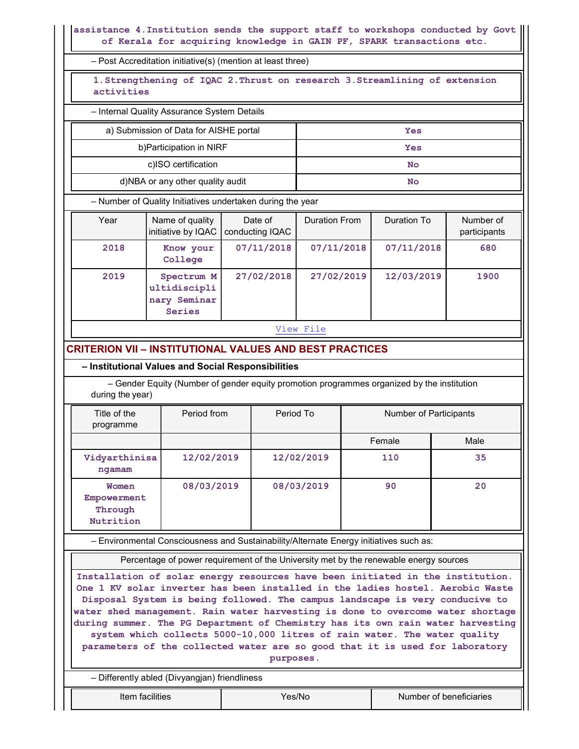assistance 4.Institution sends the support staff to workshops conducted by Govt of Kerala for acquiring knowledge in GAIN PF, SPARK transactions etc.

– Post Accreditation initiative(s) (mention at least three)

1.Strengthening of IQAC 2.Thrust on research 3.Streamlining of extension activities

– Internal Quality Assurance System Details

a) Submission of Data for AISHE portal  $\qquad \qquad$  Yes

| b) Participation in NIRF         | Yes |
|----------------------------------|-----|
| c)ISO certification              | No  |
| d)NBA or any other quality audit | No  |

– Number of Quality Initiatives undertaken during the year

| Year | Name of quality<br>initiative by IQAC                | Date of<br>conducting IQAC | <b>Duration From</b> | Duration To | Number of<br>participants |
|------|------------------------------------------------------|----------------------------|----------------------|-------------|---------------------------|
| 2018 | Know your<br>College                                 | 07/11/2018                 | 07/11/2018           | 07/11/2018  | 680                       |
| 2019 | Spectrum M<br>ultidiscipli<br>nary Seminar<br>Series | 27/02/2018                 | 27/02/2019           | 12/03/2019  | 1900                      |

View File

# CRITERION VII – INSTITUTIONAL VALUES AND BEST PRACTICES

– Institutional Values and Social Responsibilities

 – Gender Equity (Number of gender equity promotion programmes organized by the institution during the year)

| Title of the<br>programme                    | Period from | Period To  | Number of Participants |      |  |
|----------------------------------------------|-------------|------------|------------------------|------|--|
|                                              |             |            | Female                 | Male |  |
| Vidyarthinisa<br>ngamam                      | 12/02/2019  | 12/02/2019 | 110                    | 35   |  |
| Women<br>Empowerment<br>Through<br>Nutrition | 08/03/2019  | 08/03/2019 | 90                     | 20   |  |

– Environmental Consciousness and Sustainability/Alternate Energy initiatives such as:

Percentage of power requirement of the University met by the renewable energy sources

Installation of solar energy resources have been initiated in the institution. One 1 KV solar inverter has been installed in the ladies hostel. Aerobic Waste Disposal System is being followed. The campus landscape is very conducive to water shed management. Rain water harvesting is done to overcome water shortage during summer. The PG Department of Chemistry has its own rain water harvesting system which collects 5000-10,000 litres of rain water. The water quality parameters of the collected water are so good that it is used for laboratory purposes.

– Differently abled (Divyangjan) friendliness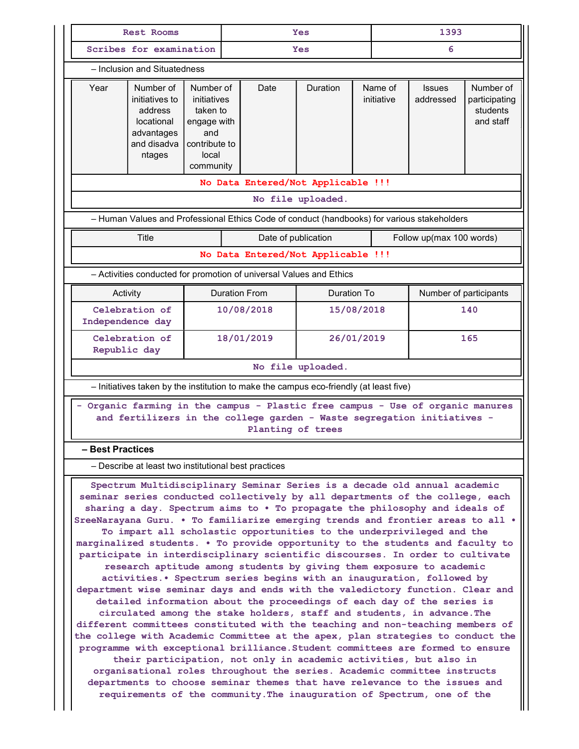|                                                                                                                                                                                                                                                                                                                                                                                                                                                                                                                                                                                                                                                                                                                                                                                                                                                                                                                                                                                                                                                                                                                                                                                                                                                                                                                                                                                                                                                                                                                                     | <b>Rest Rooms</b>                                                                           |                                                                                                   | Yes |                      | 1393                                                                                        |   |                       |                            |                                                     |
|-------------------------------------------------------------------------------------------------------------------------------------------------------------------------------------------------------------------------------------------------------------------------------------------------------------------------------------------------------------------------------------------------------------------------------------------------------------------------------------------------------------------------------------------------------------------------------------------------------------------------------------------------------------------------------------------------------------------------------------------------------------------------------------------------------------------------------------------------------------------------------------------------------------------------------------------------------------------------------------------------------------------------------------------------------------------------------------------------------------------------------------------------------------------------------------------------------------------------------------------------------------------------------------------------------------------------------------------------------------------------------------------------------------------------------------------------------------------------------------------------------------------------------------|---------------------------------------------------------------------------------------------|---------------------------------------------------------------------------------------------------|-----|----------------------|---------------------------------------------------------------------------------------------|---|-----------------------|----------------------------|-----------------------------------------------------|
|                                                                                                                                                                                                                                                                                                                                                                                                                                                                                                                                                                                                                                                                                                                                                                                                                                                                                                                                                                                                                                                                                                                                                                                                                                                                                                                                                                                                                                                                                                                                     | Scribes for examination                                                                     |                                                                                                   |     | <b>Yes</b>           |                                                                                             | 6 |                       |                            |                                                     |
| - Inclusion and Situatedness                                                                                                                                                                                                                                                                                                                                                                                                                                                                                                                                                                                                                                                                                                                                                                                                                                                                                                                                                                                                                                                                                                                                                                                                                                                                                                                                                                                                                                                                                                        |                                                                                             |                                                                                                   |     |                      |                                                                                             |   |                       |                            |                                                     |
| Year                                                                                                                                                                                                                                                                                                                                                                                                                                                                                                                                                                                                                                                                                                                                                                                                                                                                                                                                                                                                                                                                                                                                                                                                                                                                                                                                                                                                                                                                                                                                | Number of<br>initiatives to<br>address<br>locational<br>advantages<br>and disadva<br>ntages | Number of<br>initiatives<br>taken to<br>engage with<br>and<br>contribute to<br>local<br>community |     | Date                 | Duration                                                                                    |   | Name of<br>initiative | <b>Issues</b><br>addressed | Number of<br>participating<br>students<br>and staff |
|                                                                                                                                                                                                                                                                                                                                                                                                                                                                                                                                                                                                                                                                                                                                                                                                                                                                                                                                                                                                                                                                                                                                                                                                                                                                                                                                                                                                                                                                                                                                     |                                                                                             |                                                                                                   |     |                      | No Data Entered/Not Applicable !!!                                                          |   |                       |                            |                                                     |
|                                                                                                                                                                                                                                                                                                                                                                                                                                                                                                                                                                                                                                                                                                                                                                                                                                                                                                                                                                                                                                                                                                                                                                                                                                                                                                                                                                                                                                                                                                                                     |                                                                                             |                                                                                                   |     |                      | No file uploaded.                                                                           |   |                       |                            |                                                     |
|                                                                                                                                                                                                                                                                                                                                                                                                                                                                                                                                                                                                                                                                                                                                                                                                                                                                                                                                                                                                                                                                                                                                                                                                                                                                                                                                                                                                                                                                                                                                     |                                                                                             |                                                                                                   |     |                      | - Human Values and Professional Ethics Code of conduct (handbooks) for various stakeholders |   |                       |                            |                                                     |
|                                                                                                                                                                                                                                                                                                                                                                                                                                                                                                                                                                                                                                                                                                                                                                                                                                                                                                                                                                                                                                                                                                                                                                                                                                                                                                                                                                                                                                                                                                                                     | Title                                                                                       |                                                                                                   |     | Date of publication  |                                                                                             |   |                       | Follow up(max 100 words)   |                                                     |
|                                                                                                                                                                                                                                                                                                                                                                                                                                                                                                                                                                                                                                                                                                                                                                                                                                                                                                                                                                                                                                                                                                                                                                                                                                                                                                                                                                                                                                                                                                                                     |                                                                                             |                                                                                                   |     |                      | No Data Entered/Not Applicable !!!                                                          |   |                       |                            |                                                     |
| - Activities conducted for promotion of universal Values and Ethics                                                                                                                                                                                                                                                                                                                                                                                                                                                                                                                                                                                                                                                                                                                                                                                                                                                                                                                                                                                                                                                                                                                                                                                                                                                                                                                                                                                                                                                                 |                                                                                             |                                                                                                   |     |                      |                                                                                             |   |                       |                            |                                                     |
| Activity                                                                                                                                                                                                                                                                                                                                                                                                                                                                                                                                                                                                                                                                                                                                                                                                                                                                                                                                                                                                                                                                                                                                                                                                                                                                                                                                                                                                                                                                                                                            |                                                                                             |                                                                                                   |     | <b>Duration From</b> | Duration To                                                                                 |   |                       | Number of participants     |                                                     |
| Independence day                                                                                                                                                                                                                                                                                                                                                                                                                                                                                                                                                                                                                                                                                                                                                                                                                                                                                                                                                                                                                                                                                                                                                                                                                                                                                                                                                                                                                                                                                                                    | Celebration of                                                                              |                                                                                                   |     | 10/08/2018           | 15/08/2018                                                                                  |   | 140                   |                            |                                                     |
| Republic day                                                                                                                                                                                                                                                                                                                                                                                                                                                                                                                                                                                                                                                                                                                                                                                                                                                                                                                                                                                                                                                                                                                                                                                                                                                                                                                                                                                                                                                                                                                        | Celebration of                                                                              |                                                                                                   |     | 18/01/2019           | 26/01/2019                                                                                  |   | 165                   |                            |                                                     |
|                                                                                                                                                                                                                                                                                                                                                                                                                                                                                                                                                                                                                                                                                                                                                                                                                                                                                                                                                                                                                                                                                                                                                                                                                                                                                                                                                                                                                                                                                                                                     |                                                                                             |                                                                                                   |     |                      | No file uploaded.                                                                           |   |                       |                            |                                                     |
|                                                                                                                                                                                                                                                                                                                                                                                                                                                                                                                                                                                                                                                                                                                                                                                                                                                                                                                                                                                                                                                                                                                                                                                                                                                                                                                                                                                                                                                                                                                                     |                                                                                             |                                                                                                   |     |                      | - Initiatives taken by the institution to make the campus eco-friendly (at least five)      |   |                       |                            |                                                     |
| Organic farming in the campus - Plastic free campus - Use of organic manures<br>and fertilizers in the college garden - Waste segregation initiatives -<br>Planting of trees                                                                                                                                                                                                                                                                                                                                                                                                                                                                                                                                                                                                                                                                                                                                                                                                                                                                                                                                                                                                                                                                                                                                                                                                                                                                                                                                                        |                                                                                             |                                                                                                   |     |                      |                                                                                             |   |                       |                            |                                                     |
| <b>Best Practices</b>                                                                                                                                                                                                                                                                                                                                                                                                                                                                                                                                                                                                                                                                                                                                                                                                                                                                                                                                                                                                                                                                                                                                                                                                                                                                                                                                                                                                                                                                                                               |                                                                                             |                                                                                                   |     |                      |                                                                                             |   |                       |                            |                                                     |
|                                                                                                                                                                                                                                                                                                                                                                                                                                                                                                                                                                                                                                                                                                                                                                                                                                                                                                                                                                                                                                                                                                                                                                                                                                                                                                                                                                                                                                                                                                                                     | - Describe at least two institutional best practices                                        |                                                                                                   |     |                      |                                                                                             |   |                       |                            |                                                     |
| Spectrum Multidisciplinary Seminar Series is a decade old annual academic<br>seminar series conducted collectively by all departments of the college, each<br>sharing a day. Spectrum aims to . To propagate the philosophy and ideals of<br>SreeNarayana Guru. . To familiarize emerging trends and frontier areas to all .<br>To impart all scholastic opportunities to the underprivileged and the<br>marginalized students. . To provide opportunity to the students and faculty to<br>participate in interdisciplinary scientific discourses. In order to cultivate<br>research aptitude among students by giving them exposure to academic<br>activities. • Spectrum series begins with an inauguration, followed by<br>department wise seminar days and ends with the valedictory function. Clear and<br>detailed information about the proceedings of each day of the series is<br>circulated among the stake holders, staff and students, in advance. The<br>different committees constituted with the teaching and non-teaching members of<br>the college with Academic Committee at the apex, plan strategies to conduct the<br>programme with exceptional brilliance. Student committees are formed to ensure<br>their participation, not only in academic activities, but also in<br>organisational roles throughout the series. Academic committee instructs<br>departments to choose seminar themes that have relevance to the issues and<br>requirements of the community. The inauguration of Spectrum, one of the |                                                                                             |                                                                                                   |     |                      |                                                                                             |   |                       |                            |                                                     |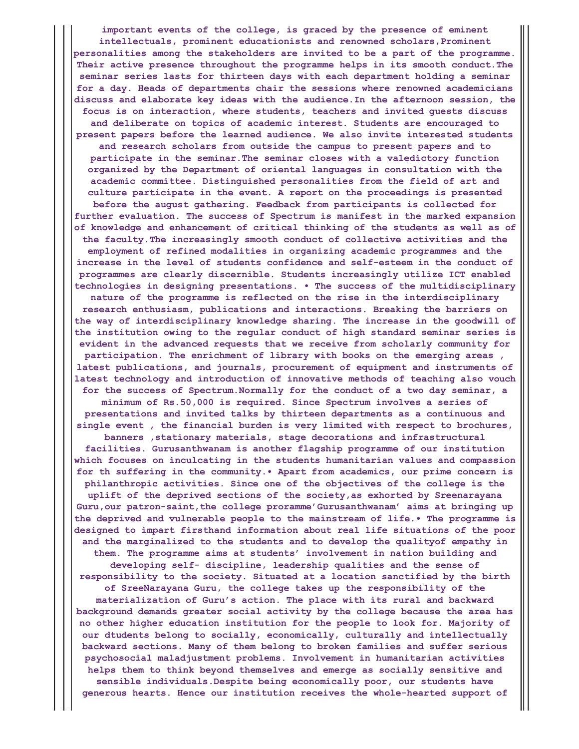important events of the college, is graced by the presence of eminent intellectuals, prominent educationists and renowned scholars, Prominent personalities among the stakeholders are invited to be a part of the programme. Their active presence throughout the programme helps in its smooth conduct.The seminar series lasts for thirteen days with each department holding a seminar for a day. Heads of departments chair the sessions where renowned academicians discuss and elaborate key ideas with the audience.In the afternoon session, the focus is on interaction, where students, teachers and invited guests discuss and deliberate on topics of academic interest. Students are encouraged to present papers before the learned audience. We also invite interested students and research scholars from outside the campus to present papers and to participate in the seminar.The seminar closes with a valedictory function organized by the Department of oriental languages in consultation with the academic committee. Distinguished personalities from the field of art and culture participate in the event. A report on the proceedings is presented before the august gathering. Feedback from participants is collected for further evaluation. The success of Spectrum is manifest in the marked expansion of knowledge and enhancement of critical thinking of the students as well as of the faculty.The increasingly smooth conduct of collective activities and the employment of refined modalities in organizing academic programmes and the increase in the level of students confidence and self-esteem in the conduct of programmes are clearly discernible. Students increasingly utilize ICT enabled technologies in designing presentations. • The success of the multidisciplinary nature of the programme is reflected on the rise in the interdisciplinary research enthusiasm, publications and interactions. Breaking the barriers on the way of interdisciplinary knowledge sharing. The increase in the goodwill of the institution owing to the regular conduct of high standard seminar series is evident in the advanced requests that we receive from scholarly community for participation. The enrichment of library with books on the emerging areas , latest publications, and journals, procurement of equipment and instruments of latest technology and introduction of innovative methods of teaching also vouch for the success of Spectrum.Normally for the conduct of a two day seminar, a minimum of Rs.50,000 is required. Since Spectrum involves a series of presentations and invited talks by thirteen departments as a continuous and single event , the financial burden is very limited with respect to brochures, banners ,stationary materials, stage decorations and infrastructural facilities. Gurusanthwanam is another flagship programme of our institution which focuses on inculcating in the students humanitarian values and compassion for th suffering in the community.• Apart from academics, our prime concern is philanthropic activities. Since one of the objectives of the college is the uplift of the deprived sections of the society,as exhorted by Sreenarayana Guru, our patron-saint, the college proramme' Gurusanthwanam' aims at bringing up the deprived and vulnerable people to the mainstream of life.• The programme is designed to impart firsthand information about real life situations of the poor and the marginalized to the students and to develop the qualityof empathy in them. The programme aims at students' involvement in nation building and developing self- discipline, leadership qualities and the sense of responsibility to the society. Situated at a location sanctified by the birth of SreeNarayana Guru, the college takes up the responsibility of the materialization of Guru's action. The place with its rural and backward background demands greater social activity by the college because the area has no other higher education institution for the people to look for. Majority of our dtudents belong to socially, economically, culturally and intellectually backward sections. Many of them belong to broken families and suffer serious psychosocial maladjustment problems. Involvement in humanitarian activities helps them to think beyond themselves and emerge as socially sensitive and sensible individuals.Despite being economically poor, our students have generous hearts. Hence our institution receives the whole-hearted support of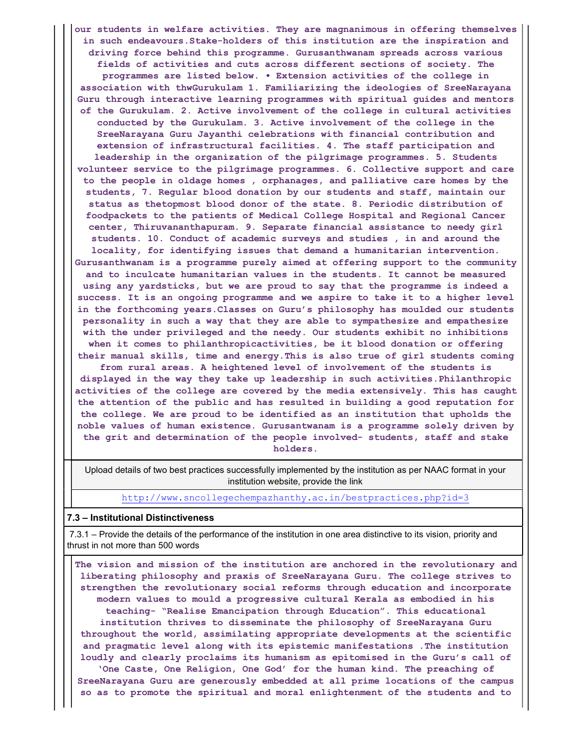our students in welfare activities. They are magnanimous in offering themselves in such endeavours.Stake-holders of this institution are the inspiration and driving force behind this programme. Gurusanthwanam spreads across various fields of activities and cuts across different sections of society. The programmes are listed below. • Extension activities of the college in association with thwGurukulam 1. Familiarizing the ideologies of SreeNarayana Guru through interactive learning programmes with spiritual guides and mentors of the Gurukulam. 2. Active involvement of the college in cultural activities conducted by the Gurukulam. 3. Active involvement of the college in the SreeNarayana Guru Jayanthi celebrations with financial contribution and extension of infrastructural facilities. 4. The staff participation and leadership in the organization of the pilgrimage programmes. 5. Students volunteer service to the pilgrimage programmes. 6. Collective support and care to the people in oldage homes , orphanages, and palliative care homes by the students, 7. Regular blood donation by our students and staff, maintain our status as thetopmost blood donor of the state. 8. Periodic distribution of foodpackets to the patients of Medical College Hospital and Regional Cancer center, Thiruvananthapuram. 9. Separate financial assistance to needy girl students. 10. Conduct of academic surveys and studies , in and around the locality, for identifying issues that demand a humanitarian intervention. Gurusanthwanam is a programme purely aimed at offering support to the community and to inculcate humanitarian values in the students. It cannot be measured using any yardsticks, but we are proud to say that the programme is indeed a success. It is an ongoing programme and we aspire to take it to a higher level in the forthcoming years.Classes on Guru's philosophy has moulded our students personality in such a way that they are able to sympathesize and empathesize with the under privileged and the needy. Our students exhibit no inhibitions when it comes to philanthropicactivities, be it blood donation or offering their manual skills, time and energy.This is also true of girl students coming from rural areas. A heightened level of involvement of the students is displayed in the way they take up leadership in such activities.Philanthropic activities of the college are covered by the media extensively. This has caught the attention of the public and has resulted in building a good reputation for the college. We are proud to be identified as an institution that upholds the noble values of human existence. Gurusantwanam is a programme solely driven by the grit and determination of the people involved- students, staff and stake holders.

Upload details of two best practices successfully implemented by the institution as per NAAC format in your institution website, provide the link

## http://www.sncollegechempazhanthy.ac.in/bestpractices.php?id=3

### 7.3 – Institutional Distinctiveness

7.3.1 – Provide the details of the performance of the institution in one area distinctive to its vision, priority and thrust in not more than 500 words

The vision and mission of the institution are anchored in the revolutionary and liberating philosophy and praxis of SreeNarayana Guru. The college strives to strengthen the revolutionary social reforms through education and incorporate modern values to mould a progressive cultural Kerala as embodied in his teaching- "Realise Emancipation through Education". This educational institution thrives to disseminate the philosophy of SreeNarayana Guru throughout the world, assimilating appropriate developments at the scientific and pragmatic level along with its epistemic manifestations .The institution loudly and clearly proclaims its humanism as epitomised in the Guru's call of 'One Caste, One Religion, One God' for the human kind. The preaching of SreeNarayana Guru are generously embedded at all prime locations of the campus so as to promote the spiritual and moral enlightenment of the students and to